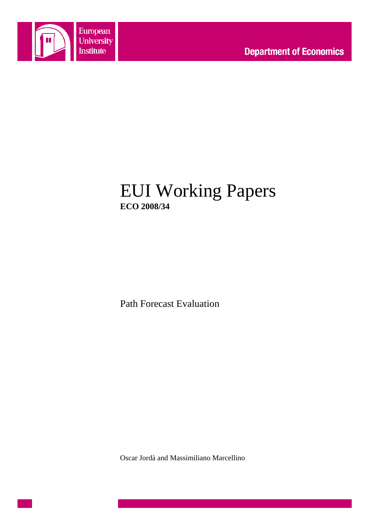

# EUI Working Papers **ECO 2008/34**

Path Forecast Evaluation

Oscar Jordà and Massimiliano Marcellino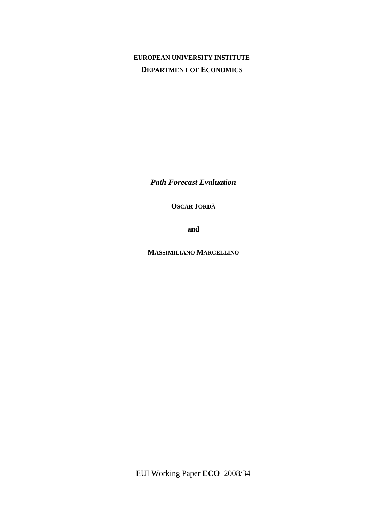## **EUROPEAN UNIVERSITY INSTITUTE DEPARTMENT OF ECONOMICS**

*Path Forecast Evaluation* 

**OSCAR JORDÀ** 

**and**

**MASSIMILIANO MARCELLINO**

EUI Working Paper **ECO** 2008/34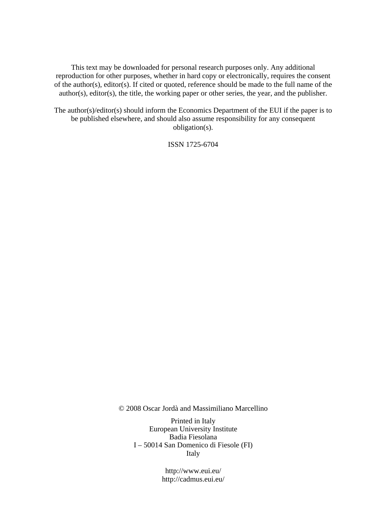This text may be downloaded for personal research purposes only. Any additional reproduction for other purposes, whether in hard copy or electronically, requires the consent of the author(s), editor(s). If cited or quoted, reference should be made to the full name of the author(s), editor(s), the title, the working paper or other series, the year, and the publisher.

The author(s)/editor(s) should inform the Economics Department of the EUI if the paper is to be published elsewhere, and should also assume responsibility for any consequent obligation(s).

ISSN 1725-6704

© 2008 Oscar Jordà and Massimiliano Marcellino

Printed in Italy European University Institute Badia Fiesolana I – 50014 San Domenico di Fiesole (FI) Italy

> http://www.eui.eu/ http://cadmus.eui.eu/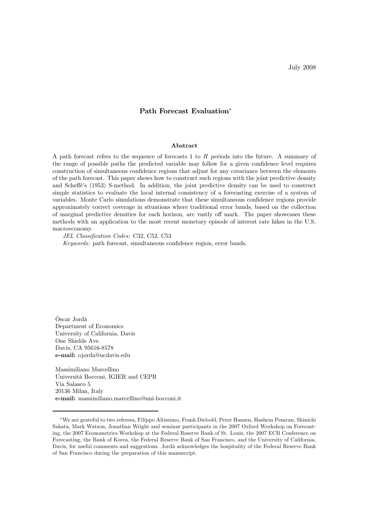#### Path Forecast Evaluation\*

#### Abstract

A path forecast refers to the sequence of forecasts 1 to H periods into the future. A summary of the range of possible paths the predicted variable may follow for a given confidence level requires construction of simultaneous confidence regions that adjust for any covariance between the elements of the path forecast. This paper shows how to construct such regions with the joint predictive density and Scheé's (1953) S-method. In addition, the joint predictive density can be used to construct simple statistics to evaluate the local internal consistency of a forecasting exercise of a system of variables. Monte Carlo simulations demonstrate that these simultaneous confidence regions provide approximately correct coverage in situations where traditional error bands, based on the collection of marginal predictive densities for each horizon, are vastly off mark. The paper showcases these methods with an application to the most recent monetary episode of interest rate hikes in the U.S. macroeconomy.

JEL Classification Codes: C32, C52, C53

Keywords: path forecast, simultaneous confidence region, error bands.

Òscar Jordà Department of Economics University of California, Davis One Shields Ave. Davis, CA 95616-8578 e-mail: ojorda@ucdavis.edu

Massimiliano Marcellino Università Bocconi, IGIER and CEPR Via Salasco 5 20136 Milan, Italy e-mail: massimiliano.marcellino@uni-bocconi.it

<sup>f</sup>We are grateful to two referees, Filippo Altissimo, Frank Diebold, Peter Hansen, Hashem Pesaran, Shinichi Sakata, Mark Watson, Jonathan Wright and seminar participants in the 2007 Oxford Workshop on Forecasting, the 2007 Econometrics Workshop at the Federal Reserve Bank of St. Louis, the 2007 ECB Conference on Forecasting, the Bank of Korea, the Federal Reserve Bank of San Francisco, and the University of California, Davis, for useful comments and suggestions. Jordà acknowledges the hospitality of the Federal Reserve Bank of San Francisco during the preparation of this manuscript.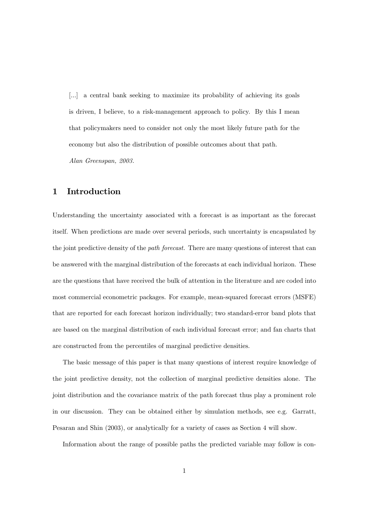[...] a central bank seeking to maximize its probability of achieving its goals is driven, I believe, to a risk-management approach to policy. By this I mean that policymakers need to consider not only the most likely future path for the economy but also the distribution of possible outcomes about that path.

Alan Greenspan, 2003.

## 1 Introduction

Understanding the uncertainty associated with a forecast is as important as the forecast itself. When predictions are made over several periods, such uncertainty is encapsulated by the joint predictive density of the *path forecast*. There are many questions of interest that can be answered with the marginal distribution of the forecasts at each individual horizon. These are the questions that have received the bulk of attention in the literature and are coded into most commercial econometric packages. For example, mean-squared forecast errors (MSFE) that are reported for each forecast horizon individually; two standard-error band plots that are based on the marginal distribution of each individual forecast error; and fan charts that are constructed from the percentiles of marginal predictive densities.

The basic message of this paper is that many questions of interest require knowledge of the joint predictive density, not the collection of marginal predictive densities alone. The joint distribution and the covariance matrix of the path forecast thus play a prominent role in our discussion. They can be obtained either by simulation methods, see e.g. Garratt, Pesaran and Shin (2003), or analytically for a variety of cases as Section 4 will show.

Information about the range of possible paths the predicted variable may follow is con-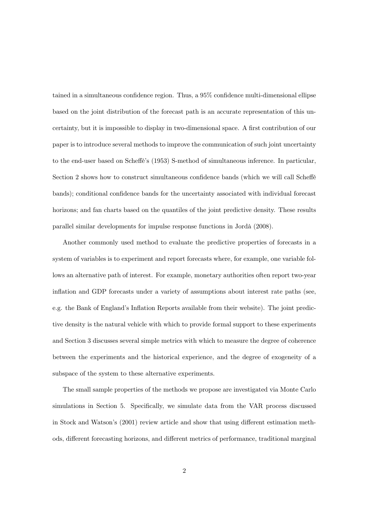tained in a simultaneous confidence region. Thus, a 95% confidence multi-dimensional ellipse based on the joint distribution of the forecast path is an accurate representation of this uncertainty, but it is impossible to display in two-dimensional space. A first contribution of our paper is to introduce several methods to improve the communication of such joint uncertainty to the end-user based on Scheffe's (1953) S-method of simultaneous inference. In particular, Section 2 shows how to construct simultaneous confidence bands (which we will call Scheffe bands); conditional confidence bands for the uncertainty associated with individual forecast horizons; and fan charts based on the quantiles of the joint predictive density. These results parallel similar developments for impulse response functions in Jordà (2008).

Another commonly used method to evaluate the predictive properties of forecasts in a system of variables is to experiment and report forecasts where, for example, one variable follows an alternative path of interest. For example, monetary authorities often report two-year inflation and GDP forecasts under a variety of assumptions about interest rate paths (see, e.g. the Bank of England's Inflation Reports available from their website). The joint predictive density is the natural vehicle with which to provide formal support to these experiments and Section 3 discusses several simple metrics with which to measure the degree of coherence between the experiments and the historical experience, and the degree of exogeneity of a subspace of the system to these alternative experiments.

The small sample properties of the methods we propose are investigated via Monte Carlo simulations in Section 5. Specifically, we simulate data from the VAR process discussed in Stock and Watson's (2001) review article and show that using different estimation methods, different forecasting horizons, and different metrics of performance, traditional marginal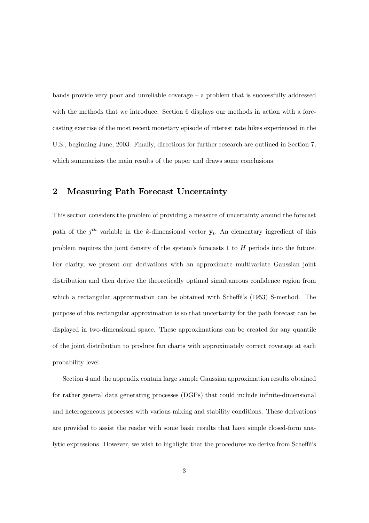bands provide very poor and unreliable coverage  $-$  a problem that is successfully addressed with the methods that we introduce. Section 6 displays our methods in action with a forecasting exercise of the most recent monetary episode of interest rate hikes experienced in the U.S., beginning June, 2003. Finally, directions for further research are outlined in Section 7, which summarizes the main results of the paper and draws some conclusions.

## 2 Measuring Path Forecast Uncertainty

This section considers the problem of providing a measure of uncertainty around the forecast path of the  $j<sup>th</sup>$  variable in the k-dimensional vector  $y<sub>t</sub>$ . An elementary ingredient of this problem requires the joint density of the system's forecasts 1 to H periods into the future. For clarity, we present our derivations with an approximate multivariate Gaussian joint distribution and then derive the theoretically optimal simultaneous confidence region from which a rectangular approximation can be obtained with Scheffé's (1953) S-method. The purpose of this rectangular approximation is so that uncertainty for the path forecast can be displayed in two-dimensional space. These approximations can be created for any quantile of the joint distribution to produce fan charts with approximately correct coverage at each probability level.

Section 4 and the appendix contain large sample Gaussian approximation results obtained for rather general data generating processes (DGPs) that could include infinite-dimensional and heterogeneous processes with various mixing and stability conditions. These derivations are provided to assist the reader with some basic results that have simple closed-form analytic expressions. However, we wish to highlight that the procedures we derive from Scheffe's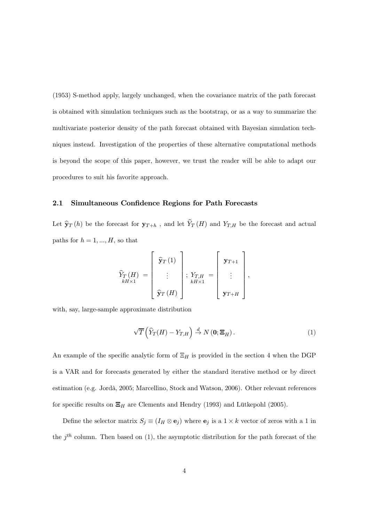(1953) S-method apply, largely unchanged, when the covariance matrix of the path forecast is obtained with simulation techniques such as the bootstrap, or as a way to summarize the multivariate posterior density of the path forecast obtained with Bayesian simulation techniques instead. Investigation of the properties of these alternative computational methods is beyond the scope of this paper, however, we trust the reader will be able to adapt our procedures to suit his favorite approach.

#### 2.1 Simultaneous Confidence Regions for Path Forecasts

Let  $\hat{\mathbf{y}}_T(h)$  be the forecast for  $\mathbf{y}_{T+h}$ , and let  $\hat{Y}_T(H)$  and  $Y_{T,H}$  be the forecast and actual paths for  $h = 1, ..., H$ , so that

$$
\widehat{Y}_{T}(H) = \left[\begin{array}{c} \widehat{\mathbf{y}}_{T}(1) \\ \vdots \\ \widehat{\mathbf{y}}_{T}(H) \end{array}\right]; \ \ Y_{T,H} = \left[\begin{array}{c} \mathbf{y}_{T+1} \\ \vdots \\ \mathbf{y}_{T+H} \end{array}\right],
$$

with, say, large-sample approximate distribution

$$
\sqrt{T}\left(\widehat{Y}_T(H) - Y_{T,H}\right) \stackrel{d}{\to} N\left(\mathbf{0}; \mathbf{\Xi}_H\right). \tag{1}
$$

An example of the specific analytic form of  $\Xi_H$  is provided in the section 4 when the DGP is a VAR and for forecasts generated by either the standard iterative method or by direct estimation (e.g. Jordà, 2005; Marcellino, Stock and Watson, 2006). Other relevant references for specific results on  $\Xi_H$  are Clements and Hendry (1993) and Lütkepohl (2005).

Define the selector matrix  $S_j \equiv (I_H \otimes \mathbf{e}_j)$  where  $\mathbf{e}_j$  is a  $1 \times k$  vector of zeros with a 1 in the  $j<sup>th</sup>$  column. Then based on (1), the asymptotic distribution for the path forecast of the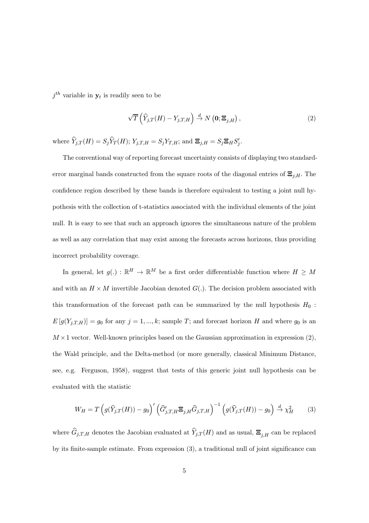$j<sup>th</sup>$  variable in  $y<sub>t</sub>$  is readily seen to be

$$
\sqrt{T}\left(\widehat{Y}_{j,T}(H) - Y_{j,T,H}\right) \stackrel{d}{\to} N\left(\mathbf{0}; \Xi_{j,H}\right),\tag{2}
$$

where  $\hat{Y}_{j,T}(H) = S_j \hat{Y}_T(H); Y_{j,T,H} = S_j Y_{T,H};$  and  $\Xi_{j,H} = S_j \Xi_H S'_j$ .

The conventional way of reporting forecast uncertainty consists of displaying two standarderror marginal bands constructed from the square roots of the diagonal entries of  $\Xi_{j,H}$ . The confidence region described by these bands is therefore equivalent to testing a joint null hypothesis with the collection of t-statistics associated with the individual elements of the joint null. It is easy to see that such an approach ignores the simultaneous nature of the problem as well as any correlation that may exist among the forecasts across horizons, thus providing incorrect probability coverage.

In general, let  $g(.)$  :  $\mathbb{R}^H \to \mathbb{R}^M$  be a first order differentiable function where  $H \geq M$ and with an  $H \times M$  invertible Jacobian denoted  $G(.)$ . The decision problem associated with this transformation of the forecast path can be summarized by the null hypothesis  $H_0$ :  $E[g(Y_{j,T,H})] = g_0$  for any  $j = 1, ..., k$ ; sample T; and forecast horizon H and where  $g_0$  is an  $M \times 1$  vector. Well-known principles based on the Gaussian approximation in expression (2), the Wald principle, and the Delta-method (or more generally, classical Minimum Distance, see, e.g. Ferguson, 1958), suggest that tests of this generic joint null hypothesis can be evaluated with the statistic

$$
W_H = T\left(g(\widehat{Y}_{j,T}(H)) - g_0\right)' \left(\widehat{G}'_{j,T,H} \mathbf{\Xi}_{j,H} \widehat{G}_{j,T,H}\right)^{-1} \left(g(\widehat{Y}_{j,T}(H)) - g_0\right) \stackrel{d}{\to} \chi_H^2 \tag{3}
$$

where  $\widehat{G}_{j,T,H}$  denotes the Jacobian evaluated at  $\widehat{Y}_{j,T}(H)$  and as usual,  $\Xi_{j,H}$  can be replaced by its finite-sample estimate. From expression (3), a traditional null of joint significance can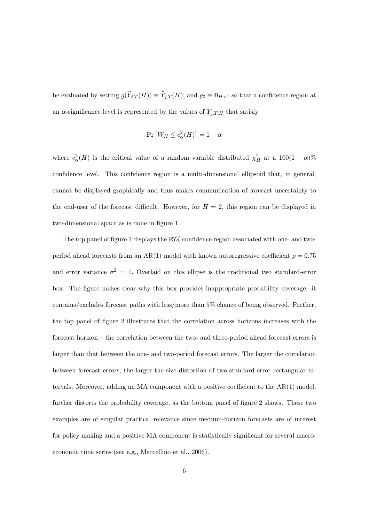be evaluated by setting  $g(\hat{Y}_{j,T}(H)) \equiv \hat{Y}_{j,T}(H)$ ; and  $g_0 \equiv \mathbf{0}_{H\times 1}$  so that a confidence region at an  $\alpha$ -significance level is represented by the values of  $Y_{j,T,H}$  that satisfy

$$
\Pr\left[W_H \le c_\alpha^2(H)\right] = 1 - \alpha
$$

where  $c_{\alpha}^{2}(H)$  is the critical value of a random variable distributed  $\chi_{H}^{2}$  at a  $100(1-\alpha)\%$ confidence level. This confidence region is a multi-dimensional ellipsoid that, in general, cannot be displayed graphically and thus makes communication of forecast uncertainty to the end-user of the forecast difficult. However, for  $H = 2$ , this region can be displayed in two-dimensional space as is done in figure 1.

The top panel of figure 1 displays the 95% confidence region associated with one- and twoperiod ahead forecasts from an AR(1) model with known autoregressive coefficient  $\rho = 0.75$ and error variance  $\sigma^2 = 1$ . Overlaid on this ellipse is the traditional two standard-error box. The figure makes clear why this box provides inappropriate probability coverage: it contains/excludes forecast paths with less/more than 5% chance of being observed. Further, the top panel of figure 2 illustrates that the correlation across horizons increases with the forecast horizon — the correlation between the two- and three-period ahead forecast errors is larger than that between the one- and two-period forecast errors. The larger the correlation between forecast errors, the larger the size distortion of two-standard-error rectangular intervals. Moreover, adding an MA component with a positive coefficient to the  $AR(1)$  model, further distorts the probability coverage, as the bottom panel of figure 2 shows. These two examples are of singular practical relevance since medium-horizon forecasts are of interest for policy making and a positive MA component is statistically significant for several macroeconomic time series (see e.g., Marcellino et al., 2006).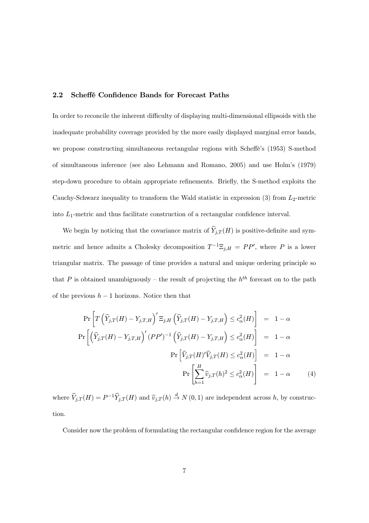#### 2.2 Scheffé Confidence Bands for Forecast Paths

In order to reconcile the inherent difficulty of displaying multi-dimensional ellipsoids with the inadequate probability coverage provided by the more easily displayed marginal error bands, we propose constructing simultaneous rectangular regions with Scheffe's (1953) S-method of simultaneous inference (see also Lehmann and Romano, 2005) and use Holm's (1979) step-down procedure to obtain appropriate refinements. Briefly, the S-method exploits the Cauchy-Schwarz inequality to transform the Wald statistic in expression  $(3)$  from  $L_2$ -metric into  $L_1$ -metric and thus facilitate construction of a rectangular confidence interval.

We begin by noticing that the covariance matrix of  $\widehat{Y}_{j,T} (H)$  is positive-definite and symmetric and hence admits a Cholesky decomposition  $T^{-1}\Xi_{j,H} = PP'$ , where P is a lower triangular matrix. The passage of time provides a natural and unique ordering principle so that P is obtained unambiguously – the result of projecting the  $h^{th}$  forecast on to the path of the previous  $h - 1$  horizons. Notice then that

$$
\Pr\left[T\left(\widehat{Y}_{j,T}(H) - Y_{j,T,H}\right)' \Xi_{j,H}\left(\widehat{Y}_{j,T}(H) - Y_{j,T,H}\right) \le c_{\alpha}^{2}(H)\right] = 1 - \alpha
$$
\n
$$
\Pr\left[\left(\widehat{Y}_{j,T}(H) - Y_{j,T,H}\right)'(PP')^{-1}\left(\widehat{Y}_{j,T}(H) - Y_{j,T,H}\right) \le c_{\alpha}^{2}(H)\right] = 1 - \alpha
$$
\n
$$
\Pr\left[\widehat{V}_{j,T}(H)'\widehat{V}_{j,T}(H) \le c_{\alpha}^{2}(H)\right] = 1 - \alpha
$$
\n
$$
\Pr\left[\sum_{h=1}^{H} \widehat{v}_{j,T}(h)^{2} \le c_{\alpha}^{2}(H)\right] = 1 - \alpha \tag{4}
$$

where  $\hat{V}_{j,T}(H) = P^{-1}\hat{Y}_{j,T}(H)$  and  $\hat{v}_{j,T}(h) \stackrel{d}{\rightarrow} N(0,1)$  are independent across h, by construction.

Consider now the problem of formulating the rectangular confidence region for the average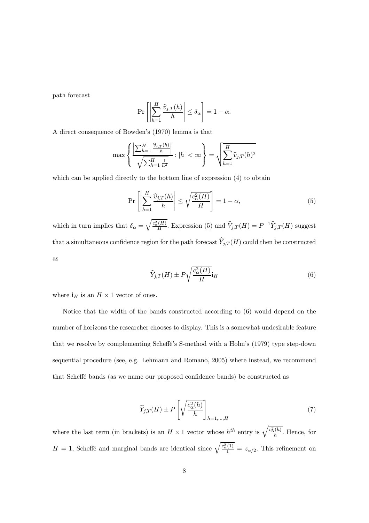path forecast

$$
\Pr\left[\left|\sum_{h=1}^H \frac{\widehat{v}_{j,T}(h)}{h}\right| \le \delta_\alpha\right] = 1 - \alpha.
$$

A direct consequence of Bowden's (1970) lemma is that

$$
\max\left\{\frac{\left|\sum_{h=1}^H\frac{\widehat{v}_{j,T}(h)}{h}\right|}{\sqrt{\sum_{h=1}^H\frac{1}{h^2}}}\cdot|h|<\infty\right\}=\sqrt{\sum_{h=1}^H\widehat{v}_{j,T}(h)^2}
$$

which can be applied directly to the bottom line of expression (4) to obtain

$$
\Pr\left[\left|\sum_{h=1}^{H} \frac{\widehat{v}_{j,T}(h)}{h}\right| \leq \sqrt{\frac{c_{\alpha}^{2}(H)}{H}}\right] = 1 - \alpha,\tag{5}
$$

which in turn implies that  $\delta_\alpha =$  $\frac{\overline{c_a^2(H)}}{H}$ . Expression (5) and  $\widehat{V}_{j,T}(H) = P^{-1} \widehat{Y}_{j,T}(H)$  suggest that a simultaneous confidence region for the path forecast  $\widehat{Y}_{j,T}(H)$  could then be constructed as r

$$
\widehat{Y}_{j,T}(H) \pm P \sqrt{\frac{c_{\alpha}^2(H)}{H}} \mathbf{i}_H \tag{6}
$$

where  $\mathbf{i}_H$  is an  $H \times 1$  vector of ones.

Notice that the width of the bands constructed according to (6) would depend on the number of horizons the researcher chooses to display. This is a somewhat undesirable feature that we resolve by complementing Scheé's S-method with a Holm's (1979) type step-down sequential procedure (see, e.g. Lehmann and Romano, 2005) where instead, we recommend that Scheffé bands (as we name our proposed confidence bands) be constructed as

$$
\widehat{Y}_{j,T}(H) \pm P\left[\sqrt{\frac{c_{\alpha}^2(h)}{h}}\right]_{h=1,\dots,H}
$$
\n(7)

where the last term (in brackets) is an  $H \times 1$  vector whose  $h^{th}$  entry is  $\sqrt{\frac{c_{\alpha}^2(h)}{h}}$ . Hence, for  $H = 1$ , Scheffé and marginal bands are identical since  $\sqrt{\frac{c_{\alpha}^2(1)}{1}} = z_{\alpha/2}$ . This refinement on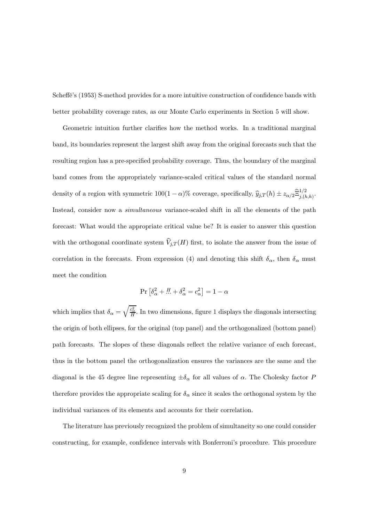Scheffe's (1953) S-method provides for a more intuitive construction of confidence bands with better probability coverage rates, as our Monte Carlo experiments in Section 5 will show.

Geometric intuition further clarifies how the method works. In a traditional marginal band, its boundaries represent the largest shift away from the original forecasts such that the resulting region has a pre-specified probability coverage. Thus, the boundary of the marginal band comes from the appropriately variance-scaled critical values of the standard normal density of a region with symmetric  $100(1-\alpha)$ % coverage, specifically,  $\hat{y}_{j,T}(h) \pm z_{\alpha/2} \hat{\Xi}_{j,(h,h)}^{1/2}$ . Instead, consider now a simultaneous variance-scaled shift in all the elements of the path forecast: What would the appropriate critical value be? It is easier to answer this question with the orthogonal coordinate system  $\widehat{V}_{j,T} (H)$  first, to isolate the answer from the issue of correlation in the forecasts. From expression (4) and denoting this shift  $\delta_{\alpha}$ , then  $\delta_{\alpha}$  must meet the condition

$$
\Pr\left[\delta_{\alpha}^2 + \dots + \delta_{\alpha}^2 = c_{\alpha}^2\right] = 1 - \alpha
$$

 $\mathcal{L}$ 

which implies that  $\delta_{\alpha} =$  $\frac{c_{\alpha}^2}{H}$ . In two dimensions, figure 1 displays the diagonals intersecting the origin of both ellipses, for the original (top panel) and the orthogonalized (bottom panel) path forecasts. The slopes of these diagonals reflect the relative variance of each forecast, thus in the bottom panel the orthogonalization ensures the variances are the same and the diagonal is the 45 degree line representing  $\pm \delta_{\alpha}$  for all values of  $\alpha$ . The Cholesky factor P therefore provides the appropriate scaling for  $\delta_{\alpha}$  since it scales the orthogonal system by the individual variances of its elements and accounts for their correlation.

The literature has previously recognized the problem of simultaneity so one could consider constructing, for example, confidence intervals with Bonferroni's procedure. This procedure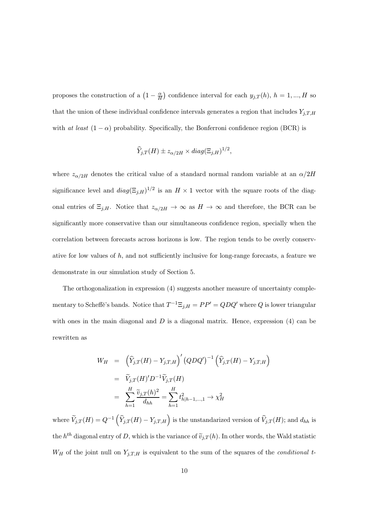proposes the construction of a  $\left(1-\frac{\alpha}{H}\right)$  confidence interval for each  $y_{j,T}(h)$ ,  $h=1,...,H$  so that the union of these individual confidence intervals generates a region that includes  $Y_{j,T,H}$ with at least  $(1 - \alpha)$  probability. Specifically, the Bonferroni confidence region (BCR) is

$$
\widehat{Y}_{j,T}(H) \pm z_{\alpha/2H} \times diag(\Xi_{j,H})^{1/2},
$$

where  $z_{\alpha/2H}$  denotes the critical value of a standard normal random variable at an  $\alpha/2H$ significance level and  $diag(\Xi_{j,H})^{1/2}$  is an  $H \times 1$  vector with the square roots of the diagonal entries of  $\Xi_{j,H}$ . Notice that  $z_{\alpha/2H} \to \infty$  as  $H \to \infty$  and therefore, the BCR can be significantly more conservative than our simultaneous confidence region, specially when the correlation between forecasts across horizons is low. The region tends to be overly conservative for low values of  $h$ , and not sufficiently inclusive for long-range forecasts, a feature we demonstrate in our simulation study of Section 5.

The orthogonalization in expression (4) suggests another measure of uncertainty complementary to Scheffé's bands. Notice that  $T^{-1}\Xi_{j,H} = PP' = QDQ'$  where Q is lower triangular with ones in the main diagonal and  $D$  is a diagonal matrix. Hence, expression  $(4)$  can be rewritten as

$$
W_H = \left(\hat{Y}_{j,T}(H) - Y_{j,T,H}\right)' (QDQ')^{-1} \left(\hat{Y}_{j,T}(H) - Y_{j,T,H}\right)
$$
  
=  $\tilde{V}_{j,T}(H)'D^{-1}\tilde{V}_{j,T}(H)$   
=  $\sum_{h=1}^{H} \frac{\tilde{v}_{j,T}(h)^2}{d_{hh}} = \sum_{h=1}^{H} t_{h|h-1,...,1}^2 \rightarrow \chi_H^2$ 

where  $\widetilde{V}_{j,T}(H) = Q^{-1}$  $\left(\widehat{Y}_{j,T}(H) - Y_{j,T,H}\right)$  is the unstandarized version of  $\widehat{V}_{j,T}(H)$ ; and  $d_{hh}$  is the  $h^{th}$  diagonal entry of D, which is the variance of  $\tilde{v}_{j,T}(h)$ . In other words, the Wald statistic  $W_H$  of the joint null on  $Y_{j,T,H}$  is equivalent to the sum of the squares of the *conditional t*-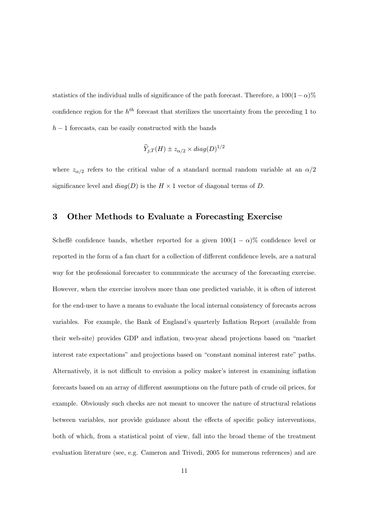statistics of the individual nulls of significance of the path forecast. Therefore, a  $100(1-\alpha)\%$ confidence region for the  $h^{th}$  forecast that sterilizes the uncertainty from the preceding 1 to  $h-1$  forecasts, can be easily constructed with the bands

$$
\widehat{Y}_{j,T}(H) \pm z_{\alpha/2} \times diag(D)^{1/2}
$$

where  $z_{\alpha/2}$  refers to the critical value of a standard normal random variable at an  $\alpha/2$ significance level and  $diag(D)$  is the  $H \times 1$  vector of diagonal terms of D.

#### 3 Other Methods to Evaluate a Forecasting Exercise

Scheffé confidence bands, whether reported for a given  $100(1 - \alpha)\%$  confidence level or reported in the form of a fan chart for a collection of different confidence levels, are a natural way for the professional forecaster to communicate the accuracy of the forecasting exercise. However, when the exercise involves more than one predicted variable, it is often of interest for the end-user to have a means to evaluate the local internal consistency of forecasts across variables. For example, the Bank of England's quarterly Inflation Report (available from their web-site) provides GDP and inflation, two-year ahead projections based on "market interest rate expectations" and projections based on "constant nominal interest rate" paths. Alternatively, it is not difficult to envision a policy maker's interest in examining inflation forecasts based on an array of different assumptions on the future path of crude oil prices, for example. Obviously such checks are not meant to uncover the nature of structural relations between variables, nor provide guidance about the effects of specific policy interventions, both of which, from a statistical point of view, fall into the broad theme of the treatment evaluation literature (see, e.g. Cameron and Trivedi, 2005 for numerous references) and are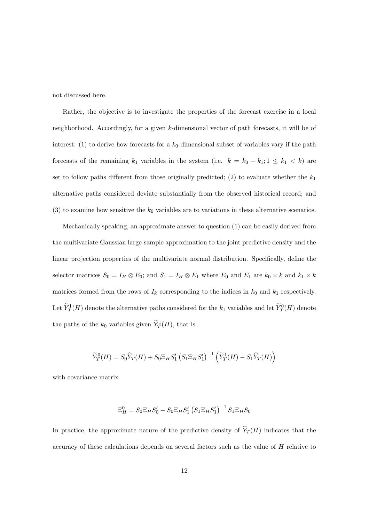not discussed here.

Rather, the objective is to investigate the properties of the forecast exercise in a local neighborhood. Accordingly, for a given k-dimensional vector of path forecasts, it will be of interest: (1) to derive how forecasts for a  $k_0$ -dimensional subset of variables vary if the path forecasts of the remaining  $k_1$  variables in the system (i.e.  $k = k_0 + k_1; 1 \leq k_1 < k$ ) are set to follow paths different from those originally predicted; (2) to evaluate whether the  $k_1$ alternative paths considered deviate substantially from the observed historical record; and (3) to examine how sensitive the  $k_0$  variables are to variations in these alternative scenarios.

Mechanically speaking, an approximate answer to question (1) can be easily derived from the multivariate Gaussian large-sample approximation to the joint predictive density and the linear projection properties of the multivariate normal distribution. Specifically, define the selector matrices  $S_0 = I_H \otimes E_0$ ; and  $S_1 = I_H \otimes E_1$  where  $E_0$  and  $E_1$  are  $k_0 \times k$  and  $k_1 \times k$ matrices formed from the rows of  $I_k$  corresponding to the indices in  $k_0$  and  $k_1$  respectively. Let  $\widetilde{Y}_T^1(H)$  denote the alternative paths considered for the  $k_1$  variables and let  $\widetilde{Y}_T^0(H)$  denote the paths of the  $k_0$  variables given  $\widetilde{Y}^1_T(H)$ , that is

$$
\widetilde{Y}_T^0(H) = S_0 \widehat{Y}_T(H) + S_0 \Xi_H S_1' \left(S_1 \Xi_H S_1'\right)^{-1} \left(\widetilde{Y}_T^1(H) - S_1 \widehat{Y}_T(H)\right)
$$

with covariance matrix

$$
\Xi_{H}^{0}=S_{0}\Xi_{H}S_{0}^{\prime}-S_{0}\Xi_{H}S_{1}^{\prime}\left(S_{1}\Xi_{H}S_{1}^{\prime}\right)^{-1}S_{1}\Xi_{H}S_{0}
$$

In practice, the approximate nature of the predictive density of  $\widehat{Y}_T(H)$  indicates that the accuracy of these calculations depends on several factors such as the value of  $H$  relative to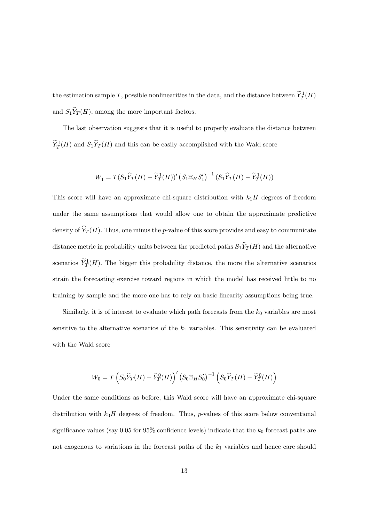the estimation sample T, possible nonlinearities in the data, and the distance between  $\tilde{Y}_T^1(H)$ and  $S_1\widehat{Y}_T(H)$ , among the more important factors.

The last observation suggests that it is useful to properly evaluate the distance between  $\widetilde{Y}_T^1(H)$  and  $S_1\widehat{Y}_T(H)$  and this can be easily accomplished with the Wald score

$$
W_1 = T(S_1\hat{Y}_T(H) - \tilde{Y}_T^1(H))' (S_1\Xi_HS'_1)^{-1} (S_1\hat{Y}_T(H) - \tilde{Y}_T^1(H))
$$

This score will have an approximate chi-square distribution with  $k_1H$  degrees of freedom under the same assumptions that would allow one to obtain the approximate predictive density of  $\widehat{Y}_T(H)$ . Thus, one minus the p-value of this score provides and easy to communicate distance metric in probability units between the predicted paths  $S_1\widehat{Y}_T(H)$  and the alternative scenarios  $\tilde{Y}_T^1(H)$ . The bigger this probability distance, the more the alternative scenarios strain the forecasting exercise toward regions in which the model has received little to no training by sample and the more one has to rely on basic linearity assumptions being true.

Similarly, it is of interest to evaluate which path forecasts from the  $k_0$  variables are most sensitive to the alternative scenarios of the  $k_1$  variables. This sensitivity can be evaluated with the Wald score

$$
W_0 = T\left(S_0\widehat{Y}_T(H) - \widetilde{Y}_T^0(H)\right)' \left(S_0\Xi_HS_0'\right)^{-1} \left(S_0\widehat{Y}_T(H) - \widetilde{Y}_T^0(H)\right)
$$

Under the same conditions as before, this Wald score will have an approximate chi-square distribution with  $k_0H$  degrees of freedom. Thus, p-values of this score below conventional significance values (say 0.05 for  $95\%$  confidence levels) indicate that the  $k_0$  forecast paths are not exogenous to variations in the forecast paths of the  $k_1$  variables and hence care should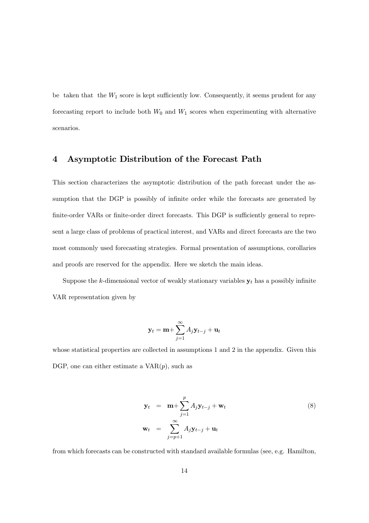be taken that the  $W_1$  score is kept sufficiently low. Consequently, it seems prudent for any forecasting report to include both  $W_0$  and  $W_1$  scores when experimenting with alternative scenarios.

#### 4 Asymptotic Distribution of the Forecast Path

This section characterizes the asymptotic distribution of the path forecast under the assumption that the DGP is possibly of infinite order while the forecasts are generated by finite-order VARs or finite-order direct forecasts. This DGP is sufficiently general to represent a large class of problems of practical interest, and VARs and direct forecasts are the two most commonly used forecasting strategies. Formal presentation of assumptions, corollaries and proofs are reserved for the appendix. Here we sketch the main ideas.

Suppose the k-dimensional vector of weakly stationary variables  $y_t$  has a possibly infinite VAR representation given by

$$
\mathbf{y}_t = \mathbf{m} + \sum_{j=1}^{\infty} A_j \mathbf{y}_{t-j} + \mathbf{u}_t
$$

whose statistical properties are collected in assumptions 1 and 2 in the appendix. Given this DGP, one can either estimate a  $VAR(p)$ , such as

$$
\mathbf{y}_t = \mathbf{m} + \sum_{j=1}^p A_j \mathbf{y}_{t-j} + \mathbf{w}_t
$$
  
\n
$$
\mathbf{w}_t = \sum_{j=p+1}^\infty A_j \mathbf{y}_{t-j} + \mathbf{u}_t
$$
\n(8)

from which forecasts can be constructed with standard available formulas (see, e.g. Hamilton,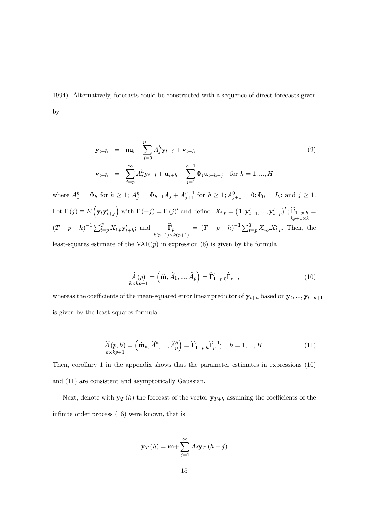1994). Alternatively, forecasts could be constructed with a sequence of direct forecasts given by

$$
\mathbf{y}_{t+h} = \mathbf{m}_h + \sum_{j=0}^{p-1} A_j^h \mathbf{y}_{t-j} + \mathbf{v}_{t+h}
$$
  
\n
$$
\mathbf{v}_{t+h} = \sum_{j=p}^{\infty} A_j^h \mathbf{y}_{t-j} + \mathbf{u}_{t+h} + \sum_{j=1}^{h-1} \Phi_j \mathbf{u}_{t+h-j} \quad \text{for } h = 1, ..., H
$$
\n(9)

where  $A_1^h = \Phi_h$  for  $h \geq 1$ ;  $A_j^h = \Phi_{h-1}A_j + A_{j+1}^{h-1}$  for  $h \geq 1$ ;  $A_{j+1}^0 = 0$ ;  $\Phi_0 = I_k$ ; and  $j \geq 1$ . Let  $\Gamma(j) \equiv E$ ³  $y_t y'_{t+i}$ ´ with  $\Gamma(-j) = \Gamma(j)'$  and define:  $X_{t,p} = (1, \mathbf{y}'_{t-1}, ..., \mathbf{y}'_{t-p})$  $f'$ ;  $\widehat{\Gamma}_{1-p,h}$ <br>kp+1×k =  $(T-p-h)^{-1} \sum_{t=p}^{T} X_{t,p} \mathbf{y}'_{t+h}$ ; and  $\widehat{\Gamma}_p = (T-p-h)^{-1} \sum_{t=p}^{T} X_{t,p} X'_{t,p}$ . Then, the

least-squares estimate of the  $VAR(p)$  in expression  $(8)$  is given by the formula

$$
\widehat{A}(p) = (\widehat{\mathbf{m}}, \widehat{A}_1, ..., \widehat{A}_p) = \widehat{\Gamma}'_{1-p,0} \widehat{\Gamma}_p^{-1},
$$
\n(10)

whereas the coefficients of the mean-squared error linear predictor of  $\mathbf{y}_{t+h}$  based on  $\mathbf{y}_t, ..., \mathbf{y}_{t-p+1}$ is given by the least-squares formula

$$
\widehat{A}(p,h) = (\widehat{\mathbf{m}}_h, \widehat{A}_1^h, ..., \widehat{A}_p^h) = \widehat{\Gamma}'_{1-p,h} \widehat{\Gamma}_p^{-1}; \quad h = 1, ..., H.
$$
\n(11)

Then, corollary 1 in the appendix shows that the parameter estimates in expressions (10) and (11) are consistent and asymptotically Gaussian.

Next, denote with  $\mathbf{y}_T(h)$  the forecast of the vector  $\mathbf{y}_{T+h}$  assuming the coefficients of the infinite order process (16) were known, that is

$$
\mathbf{y}_{T}\left(h\right) = \mathbf{m} + \sum_{j=1}^{\infty} A_{j}\mathbf{y}_{T}\left(h-j\right)
$$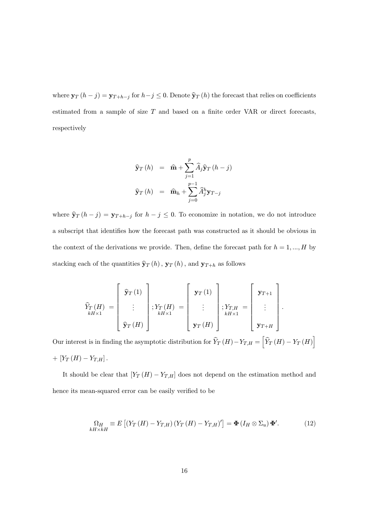where  $\mathbf{y}_T (h - j) = \mathbf{y}_{T+h-j}$  for  $h-j \leq 0$ . Denote  $\hat{\mathbf{y}}_T (h)$  the forecast that relies on coefficients estimated from a sample of size  $T$  and based on a finite order VAR or direct forecasts, respectively

$$
\widehat{\mathbf{y}}_T(h) = \widehat{\mathbf{m}} + \sum_{j=1}^p \widehat{A}_j \widehat{\mathbf{y}}_T(h-j)
$$

$$
\widehat{\mathbf{y}}_T(h) = \widehat{\mathbf{m}}_h + \sum_{j=0}^{p-1} \widehat{A}_j^h \mathbf{y}_{T-j}
$$

where  $\hat{\mathbf{y}}_T (h - j) = \mathbf{y}_{T+h-j}$  for  $h - j \leq 0$ . To economize in notation, we do not introduce a subscript that identifies how the forecast path was constructed as it should be obvious in the context of the derivations we provide. Then, define the forecast path for  $h = 1, ..., H$  by stacking each of the quantities  $\hat{\mathbf{y}}_T \left( h \right), \, \mathbf{y}_T \left( h \right),$  and  $\mathbf{y}_{T+h}$  as follows

$$
\widehat{Y}_T(H) = \begin{bmatrix} \widehat{\mathbf{y}}_T(1) \\ \vdots \\ \widehat{\mathbf{y}}_T(H) \end{bmatrix}; Y_T(H) = \begin{bmatrix} \mathbf{y}_T(1) \\ \vdots \\ \mathbf{y}_T(H) \end{bmatrix}; Y_{T,H} = \begin{bmatrix} \mathbf{y}_{T+1} \\ \vdots \\ \mathbf{y}_{T+H} \end{bmatrix}.
$$

Our interest is in finding the asymptotic distribution for  $\hat{Y}_T(H) - Y_{T,H} =$  $\widehat{Y}_T \left( H \right) - Y_T \left( H \right)$ i +  $[Y_T(H) - Y_{T,H}]$ .

It should be clear that  $[Y_T(H) - Y_{T,H}]$  does not depend on the estimation method and hence its mean-squared error can be easily verified to be

$$
\Omega_H \equiv E\left[ \left( Y_T \left( H \right) - Y_{T,H} \right) \left( Y_T \left( H \right) - Y_{T,H} \right)' \right] = \Phi \left( I_H \otimes \Sigma_u \right) \Phi'. \tag{12}
$$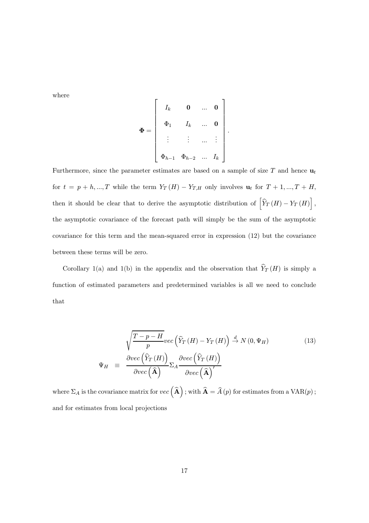where

$$
\Phi = \begin{bmatrix} I_k & 0 & \dots & 0 \\ \Phi_1 & I_k & \dots & 0 \\ \vdots & \vdots & \dots & \vdots \\ \Phi_{h-1} & \Phi_{h-2} & \dots & I_k \end{bmatrix}.
$$

Furthermore, since the parameter estimates are based on a sample of size T and hence  $\mathbf{u}_t$ for  $t = p + h, ..., T$  while the term  $Y_T(H) - Y_{T,H}$  only involves  $u_t$  for  $T + 1, ..., T + H$ , then it should be clear that to derive the asymptotic distribution of  $\left[ \widehat{Y}_T(H) - Y_T(H) \right]$ , i the asymptotic covariance of the forecast path will simply be the sum of the asymptotic covariance for this term and the mean-squared error in expression (12) but the covariance between these terms will be zero.

Corollary 1(a) and 1(b) in the appendix and the observation that  $\hat{Y}_T(H)$  is simply a function of estimated parameters and predetermined variables is all we need to conclude that

$$
\Psi_{H} \equiv \frac{\sqrt{\frac{T-p-H}{p}} \text{vec}\left(\hat{Y}_{T}\left(H\right) - Y_{T}\left(H\right)\right) \stackrel{d}{\rightarrow} N\left(0, \Psi_{H}\right)}{\text{over}\left(\hat{\mathbf{X}}_{T}\left(H\right)\right)} \Sigma_{A} \frac{\partial \text{vec}\left(\hat{Y}_{T}\left(H\right)\right)}{\text{over}\left(\hat{\mathbf{A}}\right)} \tag{13}
$$

where  $\Sigma_A$  is the covariance matrix for  $vec(\hat{\mathbf{A}})$ ; with  $\hat{\mathbf{A}} = \hat{A}(p)$  for estimates from a  $VAR(p)$  ; and for estimates from local projections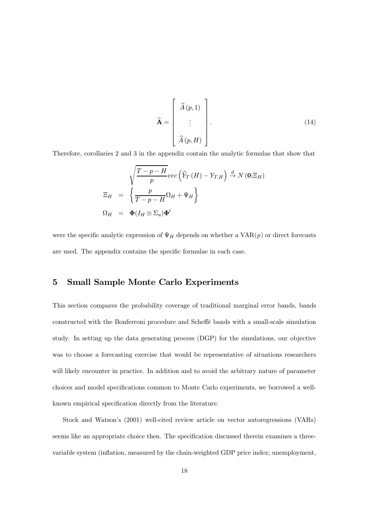$$
\widehat{\mathbf{A}} = \begin{bmatrix} \widehat{A}(p,1) \\ \vdots \\ \widehat{A}(p,H) \end{bmatrix} .
$$
 (14)

Therefore, corollaries 2 and 3 in the appendix contain the analytic formulas that show that

$$
\begin{aligned}\n\sum_{H} \mathbf{E}_{H} &= \left\{ \frac{p}{T - p - H} \text{vec} \left( \widehat{Y}_{T}(H) - Y_{T,H} \right) \stackrel{d}{\rightarrow} N(\mathbf{0}; \Xi_{H}) \right. \\
\sum_{H} &= \left\{ \frac{p}{T - p - H} \Omega_{H} + \Psi_{H} \right\} \\
\Omega_{H} &= \Phi(I_{H} \otimes \Sigma_{u}) \Phi'\n\end{aligned}
$$

were the specific analytic expression of  $\Psi_H$  depends on whether a  $VAR(p)$  or direct forecasts are used. The appendix contains the specific formulae in each case.

## 5 Small Sample Monte Carlo Experiments

This section compares the probability coverage of traditional marginal error bands, bands constructed with the Bonferroni procedure and Scheé bands with a small-scale simulation study. In setting up the data generating process (DGP) for the simulations, our objective was to choose a forecasting exercise that would be representative of situations researchers will likely encounter in practice. In addition and to avoid the arbitrary nature of parameter choices and model specifications common to Monte Carlo experiments, we borrowed a wellknown empirical specification directly from the literature.

Stock and Watson's (2001) well-cited review article on vector autoregressions (VARs) seems like an appropriate choice then. The specification discussed therein examines a threevariable system (inflation, measured by the chain-weighted GDP price index; unemployment,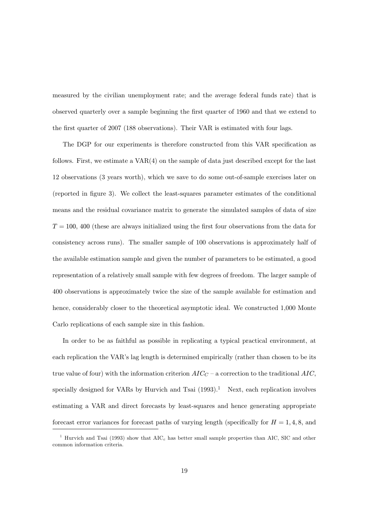measured by the civilian unemployment rate; and the average federal funds rate) that is observed quarterly over a sample beginning the first quarter of 1960 and that we extend to the first quarter of 2007 (188 observations). Their VAR is estimated with four lags.

The DGP for our experiments is therefore constructed from this VAR specification as follows. First, we estimate a  $VAR(4)$  on the sample of data just described except for the last 12 observations (3 years worth), which we save to do some out-of-sample exercises later on (reported in figure 3). We collect the least-squares parameter estimates of the conditional means and the residual covariance matrix to generate the simulated samples of data of size  $T = 100$ , 400 (these are always initialized using the first four observations from the data for consistency across runs). The smaller sample of 100 observations is approximately half of the available estimation sample and given the number of parameters to be estimated, a good representation of a relatively small sample with few degrees of freedom. The larger sample of 400 observations is approximately twice the size of the sample available for estimation and hence, considerably closer to the theoretical asymptotic ideal. We constructed 1,000 Monte Carlo replications of each sample size in this fashion.

In order to be as faithful as possible in replicating a typical practical environment, at each replication the VAR's lag length is determined empirically (rather than chosen to be its true value of four) with the information criterion  $AIC_C$  – a correction to the traditional  $AIC$ , specially designed for VARs by Hurvich and Tsai  $(1993).<sup>1</sup>$  Next, each replication involves estimating a VAR and direct forecasts by least-squares and hence generating appropriate forecast error variances for forecast paths of varying length (specifically for  $H = 1, 4, 8$ , and

<sup>&</sup>lt;sup>1</sup> Hurvich and Tsai (1993) show that  $AIC_c$  has better small sample properties than AIC, SIC and other common information criteria.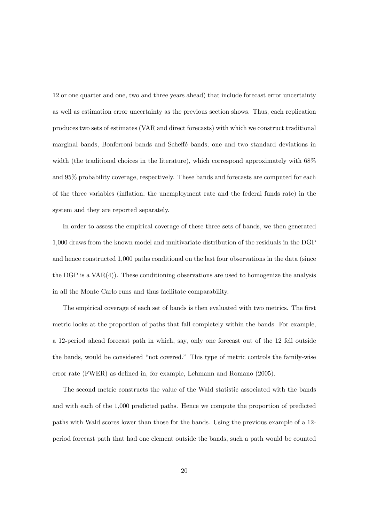12 or one quarter and one, two and three years ahead) that include forecast error uncertainty as well as estimation error uncertainty as the previous section shows. Thus, each replication produces two sets of estimates (VAR and direct forecasts) with which we construct traditional marginal bands, Bonferroni bands and Scheffe bands; one and two standard deviations in width (the traditional choices in the literature), which correspond approximately with 68% and 95% probability coverage, respectively. These bands and forecasts are computed for each of the three variables (inflation, the unemployment rate and the federal funds rate) in the system and they are reported separately.

In order to assess the empirical coverage of these three sets of bands, we then generated 1,000 draws from the known model and multivariate distribution of the residuals in the DGP and hence constructed 1,000 paths conditional on the last four observations in the data (since the DGP is a  $VAR(4)$ . These conditioning observations are used to homogenize the analysis in all the Monte Carlo runs and thus facilitate comparability.

The empirical coverage of each set of bands is then evaluated with two metrics. The first metric looks at the proportion of paths that fall completely within the bands. For example, a 12-period ahead forecast path in which, say, only one forecast out of the 12 fell outside the bands, would be considered "not covered." This type of metric controls the family-wise error rate (FWER) as defined in, for example, Lehmann and Romano (2005).

The second metric constructs the value of the Wald statistic associated with the bands and with each of the 1,000 predicted paths. Hence we compute the proportion of predicted paths with Wald scores lower than those for the bands. Using the previous example of a 12 period forecast path that had one element outside the bands, such a path would be counted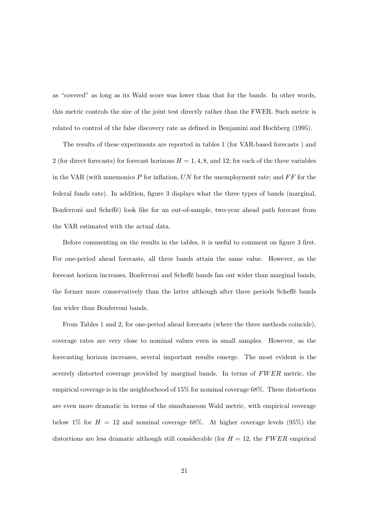as "covered" as long as its Wald score was lower than that for the bands. In other words, this metric controls the size of the joint test directly rather than the FWER. Such metric is related to control of the false discovery rate as defined in Benjamini and Hochberg (1995).

The results of these experiments are reported in tables 1 (for VAR-based forecasts ) and 2 (for direct forecasts) for forecast horizons  $H = 1, 4, 8$ , and 12; for each of the three variables in the VAR (with mnemonics  $P$  for inflation,  $UN$  for the unemployment rate; and  $FF$  for the federal funds rate). In addition, figure 3 displays what the three types of bands (marginal, Bonferroni and Scheffé) look like for an out-of-sample, two-year ahead path forecast from the VAR estimated with the actual data.

Before commenting on the results in the tables, it is useful to comment on figure 3 first. For one-period ahead forecasts, all three bands attain the same value. However, as the forecast horizon increases, Bonferroni and Scheffé bands fan out wider than marginal bands, the former more conservatively than the latter although after three periods Scheffé bands fan wider than Bonferroni bands.

From Tables 1 and 2, for one-period ahead forecasts (where the three methods coincide), coverage rates are very close to nominal values even in small samples. However, as the forecasting horizon increases, several important results emerge. The most evident is the severely distorted coverage provided by marginal bands. In terms of FWER metric, the empirical coverage is in the neighborhood of 15% for nominal coverage 68%. These distortions are even more dramatic in terms of the simultaneous Wald metric, with empirical coverage below 1% for  $H = 12$  and nominal coverage 68%. At higher coverage levels (95%) the distortions are less dramatic although still considerable (for  $H = 12$ , the FWER empirical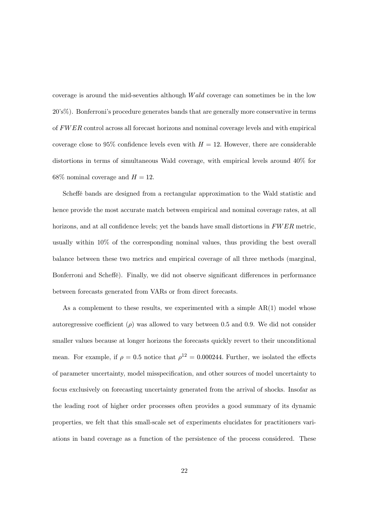coverage is around the mid-seventies although W ald coverage can sometimes be in the low 20's%). Bonferroni's procedure generates bands that are generally more conservative in terms of FWER control across all forecast horizons and nominal coverage levels and with empirical coverage close to 95% confidence levels even with  $H = 12$ . However, there are considerable distortions in terms of simultaneous Wald coverage, with empirical levels around 40% for  $68\%$  nominal coverage and  $H = 12$ .

Scheffé bands are designed from a rectangular approximation to the Wald statistic and hence provide the most accurate match between empirical and nominal coverage rates, at all horizons, and at all confidence levels; yet the bands have small distortions in FWER metric, usually within 10% of the corresponding nominal values, thus providing the best overall balance between these two metrics and empirical coverage of all three methods (marginal, Bonferroni and Scheffé). Finally, we did not observe significant differences in performance between forecasts generated from VARs or from direct forecasts.

As a complement to these results, we experimented with a simple  $AR(1)$  model whose autoregressive coefficient ( $\rho$ ) was allowed to vary between 0.5 and 0.9. We did not consider smaller values because at longer horizons the forecasts quickly revert to their unconditional mean. For example, if  $\rho = 0.5$  notice that  $\rho^{12} = 0.000244$ . Further, we isolated the effects of parameter uncertainty, model misspecification, and other sources of model uncertainty to focus exclusively on forecasting uncertainty generated from the arrival of shocks. Insofar as the leading root of higher order processes often provides a good summary of its dynamic properties, we felt that this small-scale set of experiments elucidates for practitioners variations in band coverage as a function of the persistence of the process considered. These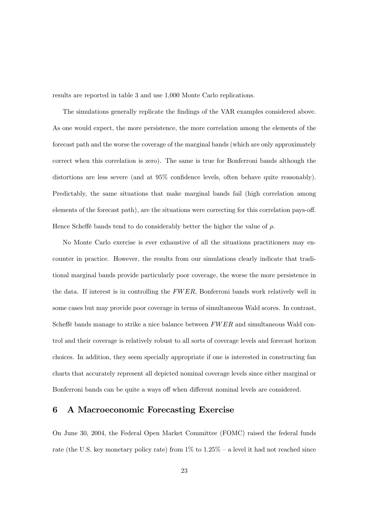results are reported in table 3 and use 1,000 Monte Carlo replications.

The simulations generally replicate the findings of the VAR examples considered above. As one would expect, the more persistence, the more correlation among the elements of the forecast path and the worse the coverage of the marginal bands (which are only approximately correct when this correlation is zero). The same is true for Bonferroni bands although the distortions are less severe (and at 95% confidence levels, often behave quite reasonably). Predictably, the same situations that make marginal bands fail (high correlation among elements of the forecast path), are the situations were correcting for this correlation pays-off. Hence Scheffé bands tend to do considerably better the higher the value of  $\rho$ .

No Monte Carlo exercise is ever exhaustive of all the situations practitioners may encounter in practice. However, the results from our simulations clearly indicate that traditional marginal bands provide particularly poor coverage, the worse the more persistence in the data. If interest is in controlling the  $FWER$ , Bonferroni bands work relatively well in some cases but may provide poor coverage in terms of simultaneous Wald scores. In contrast, Scheffé bands manage to strike a nice balance between  $FWER$  and simultaneous Wald control and their coverage is relatively robust to all sorts of coverage levels and forecast horizon choices. In addition, they seem specially appropriate if one is interested in constructing fan charts that accurately represent all depicted nominal coverage levels since either marginal or Bonferroni bands can be quite a ways off when different nominal levels are considered.

#### 6 A Macroeconomic Forecasting Exercise

On June 30, 2004, the Federal Open Market Committee (FOMC) raised the federal funds rate (the U.S. key monetary policy rate) from 1% to 1.25% — a level it had not reached since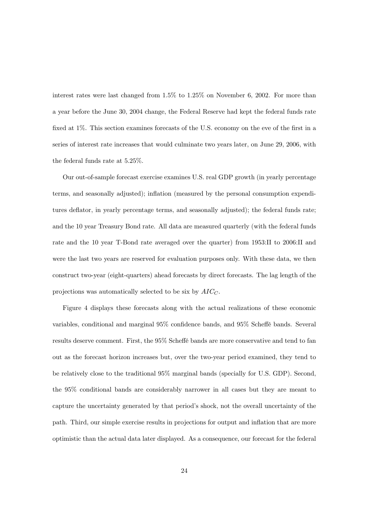interest rates were last changed from 1.5% to 1.25% on November 6, 2002. For more than a year before the June 30, 2004 change, the Federal Reserve had kept the federal funds rate fixed at 1%. This section examines forecasts of the U.S. economy on the eve of the first in a series of interest rate increases that would culminate two years later, on June 29, 2006, with the federal funds rate at 5.25%.

Our out-of-sample forecast exercise examines U.S. real GDP growth (in yearly percentage terms, and seasonally adjusted); inflation (measured by the personal consumption expenditures deflator, in yearly percentage terms, and seasonally adjusted); the federal funds rate; and the 10 year Treasury Bond rate. All data are measured quarterly (with the federal funds rate and the 10 year T-Bond rate averaged over the quarter) from 1953:II to 2006:II and were the last two years are reserved for evaluation purposes only. With these data, we then construct two-year (eight-quarters) ahead forecasts by direct forecasts. The lag length of the projections was automatically selected to be six by  $AIC<sub>C</sub>$ .

Figure 4 displays these forecasts along with the actual realizations of these economic variables, conditional and marginal 95% confidence bands, and 95% Scheffé bands. Several results deserve comment. First, the 95% Scheffé bands are more conservative and tend to fan out as the forecast horizon increases but, over the two-year period examined, they tend to be relatively close to the traditional 95% marginal bands (specially for U.S. GDP). Second, the 95% conditional bands are considerably narrower in all cases but they are meant to capture the uncertainty generated by that period's shock, not the overall uncertainty of the path. Third, our simple exercise results in projections for output and inflation that are more optimistic than the actual data later displayed. As a consequence, our forecast for the federal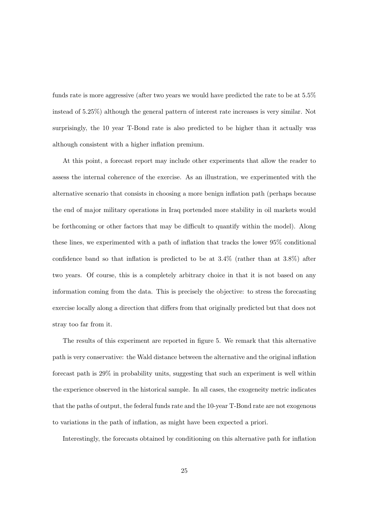funds rate is more aggressive (after two years we would have predicted the rate to be at 5.5% instead of 5.25%) although the general pattern of interest rate increases is very similar. Not surprisingly, the 10 year T-Bond rate is also predicted to be higher than it actually was although consistent with a higher inflation premium.

At this point, a forecast report may include other experiments that allow the reader to assess the internal coherence of the exercise. As an illustration, we experimented with the alternative scenario that consists in choosing a more benign inflation path (perhaps because the end of major military operations in Iraq portended more stability in oil markets would be forthcoming or other factors that may be difficult to quantify within the model). Along these lines, we experimented with a path of inflation that tracks the lower 95% conditional confidence band so that inflation is predicted to be at 3.4% (rather than at 3.8%) after two years. Of course, this is a completely arbitrary choice in that it is not based on any information coming from the data. This is precisely the objective: to stress the forecasting exercise locally along a direction that differs from that originally predicted but that does not stray too far from it.

The results of this experiment are reported in figure 5. We remark that this alternative path is very conservative: the Wald distance between the alternative and the original inflation forecast path is 29% in probability units, suggesting that such an experiment is well within the experience observed in the historical sample. In all cases, the exogeneity metric indicates that the paths of output, the federal funds rate and the 10-year T-Bond rate are not exogenous to variations in the path of inflation, as might have been expected a priori.

Interestingly, the forecasts obtained by conditioning on this alternative path for inflation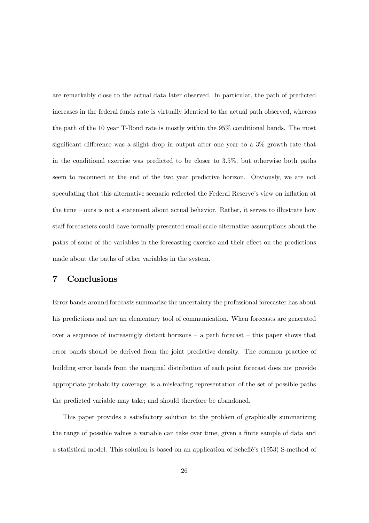are remarkably close to the actual data later observed. In particular, the path of predicted increases in the federal funds rate is virtually identical to the actual path observed, whereas the path of the 10 year T-Bond rate is mostly within the 95% conditional bands. The most significant difference was a slight drop in output after one year to a  $3\%$  growth rate that in the conditional exercise was predicted to be closer to 3.5%, but otherwise both paths seem to reconnect at the end of the two year predictive horizon. Obviously, we are not speculating that this alternative scenario reflected the Federal Reserve's view on inflation at the time — ours is not a statement about actual behavior. Rather, it serves to illustrate how staff forecasters could have formally presented small-scale alternative assumptions about the paths of some of the variables in the forecasting exercise and their effect on the predictions made about the paths of other variables in the system.

## 7 Conclusions

Error bands around forecasts summarize the uncertainty the professional forecaster has about his predictions and are an elementary tool of communication. When forecasts are generated over a sequence of increasingly distant horizons  $-$  a path forecast  $-$  this paper shows that error bands should be derived from the joint predictive density. The common practice of building error bands from the marginal distribution of each point forecast does not provide appropriate probability coverage; is a misleading representation of the set of possible paths the predicted variable may take; and should therefore be abandoned.

This paper provides a satisfactory solution to the problem of graphically summarizing the range of possible values a variable can take over time, given a finite sample of data and a statistical model. This solution is based on an application of Scheé's (1953) S-method of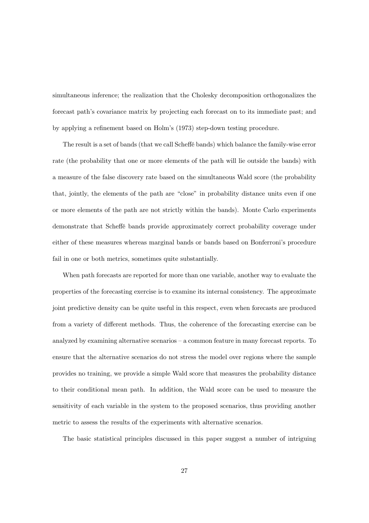simultaneous inference; the realization that the Cholesky decomposition orthogonalizes the forecast path's covariance matrix by projecting each forecast on to its immediate past; and by applying a refinement based on Holm's (1973) step-down testing procedure.

The result is a set of bands (that we call Scheffe bands) which balance the family-wise error rate (the probability that one or more elements of the path will lie outside the bands) with a measure of the false discovery rate based on the simultaneous Wald score (the probability that, jointly, the elements of the path are "close" in probability distance units even if one or more elements of the path are not strictly within the bands). Monte Carlo experiments demonstrate that Scheé bands provide approximately correct probability coverage under either of these measures whereas marginal bands or bands based on Bonferroni's procedure fail in one or both metrics, sometimes quite substantially.

When path forecasts are reported for more than one variable, another way to evaluate the properties of the forecasting exercise is to examine its internal consistency. The approximate joint predictive density can be quite useful in this respect, even when forecasts are produced from a variety of different methods. Thus, the coherence of the forecasting exercise can be analyzed by examining alternative scenarios — a common feature in many forecast reports. To ensure that the alternative scenarios do not stress the model over regions where the sample provides no training, we provide a simple Wald score that measures the probability distance to their conditional mean path. In addition, the Wald score can be used to measure the sensitivity of each variable in the system to the proposed scenarios, thus providing another metric to assess the results of the experiments with alternative scenarios.

The basic statistical principles discussed in this paper suggest a number of intriguing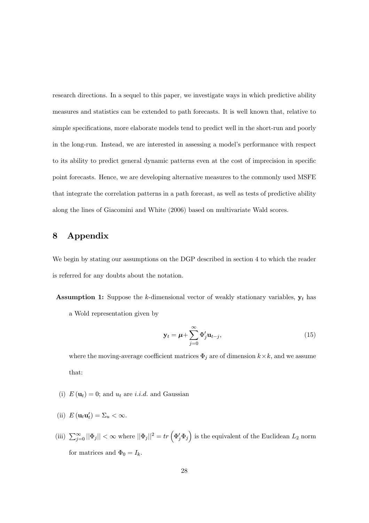research directions. In a sequel to this paper, we investigate ways in which predictive ability measures and statistics can be extended to path forecasts. It is well known that, relative to simple specifications, more elaborate models tend to predict well in the short-run and poorly in the long-run. Instead, we are interested in assessing a model's performance with respect to its ability to predict general dynamic patterns even at the cost of imprecision in specific point forecasts. Hence, we are developing alternative measures to the commonly used MSFE that integrate the correlation patterns in a path forecast, as well as tests of predictive ability along the lines of Giacomini and White (2006) based on multivariate Wald scores.

## 8 Appendix

We begin by stating our assumptions on the DGP described in section 4 to which the reader is referred for any doubts about the notation.

**Assumption 1:** Suppose the k-dimensional vector of weakly stationary variables,  $y_t$  has a Wold representation given by

$$
\mathbf{y}_t = \boldsymbol{\mu} + \sum_{j=0}^{\infty} \Phi'_j \mathbf{u}_{t-j},
$$
\n(15)

where the moving-average coefficient matrices  $\Phi_j$  are of dimension  $k \times k$ , and we assume that:

- (i)  $E(\mathbf{u}_t) = 0$ ; and  $u_t$  are *i.i.d.* and Gaussian
- (ii)  $E(\mathbf{u}_t \mathbf{u}'_t) = \Sigma_u < \infty$ .
- (iii)  $\sum_{j=0}^{\infty} ||\Phi_j|| < \infty$  where  $||\Phi_j||^2 = tr \left( \Phi_j' \Phi_j \right)$ is the equivalent of the Euclidean  $L_2$  norm for matrices and  $\Phi_0 = I_k$ .

´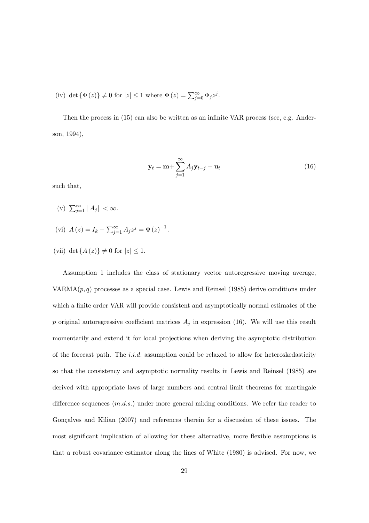(iv) det  $\{\Phi(z)\}\neq 0$  for  $|z|\leq 1$  where  $\Phi(z) = \sum_{i=0}^{\infty} \Phi_i z^j$ .

Then the process in (15) can also be written as an infinite VAR process (see, e.g. Anderson, 1994),

$$
\mathbf{y}_t = \mathbf{m} + \sum_{j=1}^{\infty} A_j \mathbf{y}_{t-j} + \mathbf{u}_t
$$
 (16)

such that,

(v)  $\sum_{i=1}^{\infty} ||A_i|| < \infty$ .

(vi) 
$$
A(z) = I_k - \sum_{j=1}^{\infty} A_j z^j = \Phi(z)^{-1}
$$
.

(vii) det  $\{A(z)\}\neq 0$  for  $|z|\leq 1$ .

Assumption 1 includes the class of stationary vector autoregressive moving average, VARMA $(p, q)$  processes as a special case. Lewis and Reinsel (1985) derive conditions under which a finite order VAR will provide consistent and asymptotically normal estimates of the p original autoregressive coefficient matrices  $A_j$  in expression (16). We will use this result momentarily and extend it for local projections when deriving the asymptotic distribution of the forecast path. The *i.i.d.* assumption could be relaxed to allow for heteroskedasticity so that the consistency and asymptotic normality results in Lewis and Reinsel (1985) are derived with appropriate laws of large numbers and central limit theorems for martingale difference sequences  $(m.d.s.)$  under more general mixing conditions. We refer the reader to Gonçalves and Kilian (2007) and references therein for a discussion of these issues. The most significant implication of allowing for these alternative, more flexible assumptions is that a robust covariance estimator along the lines of White (1980) is advised. For now, we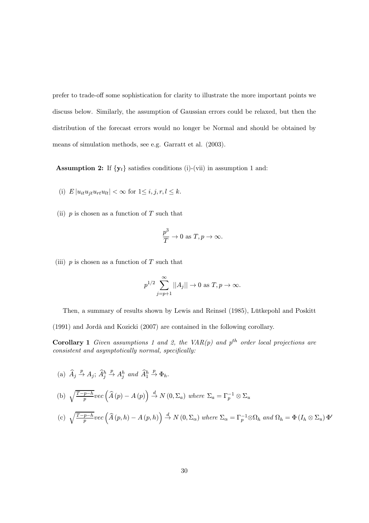prefer to trade-off some sophistication for clarity to illustrate the more important points we discuss below. Similarly, the assumption of Gaussian errors could be relaxed, but then the distribution of the forecast errors would no longer be Normal and should be obtained by means of simulation methods, see e.g. Garratt et al. (2003).

**Assumption 2:** If  $\{y_t\}$  satisfies conditions (i)-(vii) in assumption 1 and:

- (i)  $E |u_{it}u_{it}u_{rt}u_{lt}| < \infty$  for  $1 \leq i, j, r, l \leq k$ .
- (ii)  $p$  is chosen as a function of  $T$  such that

$$
\frac{p^3}{T} \to 0 \text{ as } T, p \to \infty.
$$

(iii)  $p$  is chosen as a function of  $T$  such that

$$
p^{1/2} \sum_{j=p+1}^{\infty} ||A_j|| \to 0 \text{ as } T, p \to \infty.
$$

Then, a summary of results shown by Lewis and Reinsel (1985), Lütkepohl and Poskitt

(1991) and Jordà and Kozicki (2007) are contained in the following corollary.

**Corollary 1** Given assumptions 1 and 2, the VAR(p) and  $p^{th}$  order local projections are consistent and asymptotically normal, specifically:

(a) 
$$
\widehat{A}_j \stackrel{p}{\rightarrow} A_j
$$
;  $\widehat{A}_j^h \stackrel{p}{\rightarrow} A_j^h$  and  $\widehat{A}_1^h \stackrel{p}{\rightarrow} \Phi_h$ .

(b) 
$$
\sqrt{\frac{T-p-h}{p}}\text{vec}\left(\hat{A}(p) - A(p)\right) \stackrel{d}{\rightarrow} N(0, \Sigma_a)
$$
 where  $\Sigma_a = \Gamma_p^{-1} \otimes \Sigma_u$   
\n(c)  $\sqrt{\frac{T-p-h}{p}}\text{vec}\left(\hat{A}(p, h) - A(p, h)\right) \stackrel{d}{\rightarrow} N(0, \Sigma_\alpha)$  where  $\Sigma_\alpha = \Gamma_p^{-1} \otimes \Omega_h$  and  $\Omega_h = \Phi(I_h \otimes \Sigma_u) \Phi'$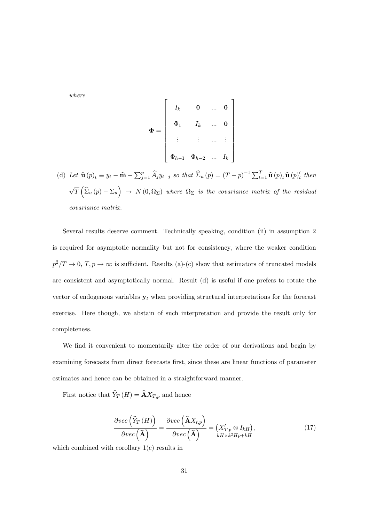where

$$
\Phi = \left[ \begin{array}{cccc} I_k & \mathbf{0} & \dots & \mathbf{0} \\ \Phi_1 & I_k & \dots & \mathbf{0} \\ \vdots & \vdots & \dots & \vdots \\ \Phi_{h-1} & \Phi_{h-2} & \dots & I_k \end{array} \right]
$$

(d) Let  $\hat{\mathbf{u}}(p)_t \equiv y_t - \hat{\mathbf{m}} - \sum_{j=1}^p \widehat{A}_j y_{t-j}$  so that  $\widehat{\Sigma}_u(p) = (T - p)^{-1} \sum_{t=1}^T \widehat{\mathbf{u}}(p)_t \widehat{\mathbf{u}}(p)_t'$  then  $\overline{\phantom{a}}$ T ³  $\widehat{\Sigma}_u (p) - \Sigma_u$ ´  $\rightarrow N(0, \Omega_{\Sigma})$  where  $\Omega_{\Sigma}$  is the covariance matrix of the residual covariance matrix.

Several results deserve comment. Technically speaking, condition (ii) in assumption 2 is required for asymptotic normality but not for consistency, where the weaker condition  $p^2/T \to 0$ ,  $T, p \to \infty$  is sufficient. Results (a)-(c) show that estimators of truncated models are consistent and asymptotically normal. Result (d) is useful if one prefers to rotate the vector of endogenous variables  $y_t$  when providing structural interpretations for the forecast exercise. Here though, we abstain of such interpretation and provide the result only for completeness.

We find it convenient to momentarily alter the order of our derivations and begin by examining forecasts from direct forecasts first, since these are linear functions of parameter estimates and hence can be obtained in a straightforward manner.

First notice that  $\widehat{Y}_T \left( H \right) = \widehat{\mathbf{A}} {X}_{T,p}$  and hence

$$
\frac{\partial vec\left(\widehat{Y}_{T}\left(H\right)\right)}{\partial vec\left(\widehat{\mathbf{A}}\right)} = \frac{\partial vec\left(\widehat{\mathbf{A}}X_{t,p}\right)}{\partial vec\left(\widehat{\mathbf{A}}\right)} = \left(X'_{T,p} \otimes I_{kH}\right),\tag{17}
$$

which combined with corollary 1(c) results in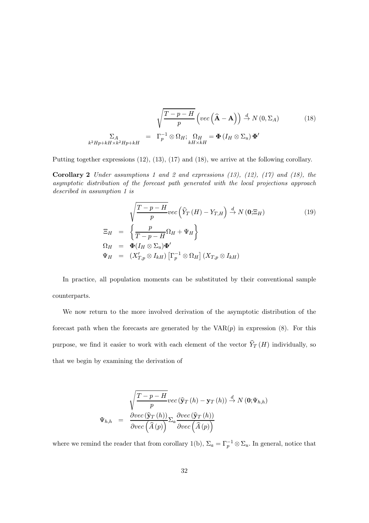$$
\sqrt{\frac{T-p-H}{p}} \left( vec\left(\hat{\mathbf{A}} - \mathbf{A}\right) \right) \stackrel{d}{\rightarrow} N(0, \Sigma_A)
$$
\n
$$
\Sigma_A
$$
\n
$$
k^2 H p + k H \times k^2 H p + k H
$$
\n
$$
= \Gamma_p^{-1} \otimes \Omega_H; \quad \Omega_H = \Phi \left( I_H \otimes \Sigma_u \right) \Phi'
$$
\n
$$
(18)
$$

Putting together expressions (12), (13), (17) and (18), we arrive at the following corollary.

**Corollary 2** Under assumptions 1 and 2 and expressions  $(13)$ ,  $(12)$ ,  $(17)$  and  $(18)$ , the asymptotic distribution of the forecast path generated with the local projections approach described in assumption 1 is

$$
\sqrt{\frac{T-p-H}{p}}vec\left(\hat{Y}_T(H) - Y_{T,H}\right) \stackrel{d}{\rightarrow} N\left(\mathbf{0}; \Xi_H\right)
$$
\n
$$
\Xi_H = \left\{\frac{p}{T-p-H}\Omega_H + \Psi_H\right\}
$$
\n
$$
\Omega_H = \Phi(I_H \otimes \Sigma_u)\Phi'
$$
\n
$$
\Psi_H = (X'_{T,p} \otimes I_{kH})\left[\Gamma_p^{-1} \otimes \Omega_H\right](X_{T,p} \otimes I_{kH})
$$
\n(19)

In practice, all population moments can be substituted by their conventional sample counterparts.

We now return to the more involved derivation of the asymptotic distribution of the forecast path when the forecasts are generated by the  $VAR(p)$  in expression  $(8)$ . For this purpose, we find it easier to work with each element of the vector  $\widehat{Y}_T\left(H\right)$  individually, so that we begin by examining the derivation of

$$
\Psi_{h,h} = \frac{\sqrt{\frac{T-p-H}{p}} \text{vec}(\hat{\mathbf{y}}_T(h) - \mathbf{y}_T(h)) \stackrel{d}{\rightarrow} N(\mathbf{0}; \Psi_{h,h})}{\frac{\partial \text{vec}(\hat{\mathbf{y}}_T(h))}{\partial \text{vec}(\hat{A}(p))} \Sigma_a \frac{\partial \text{vec}(\hat{\mathbf{y}}_T(h))}{\partial \text{vec}(\hat{A}(p))}}
$$

where we remind the reader that from corollary 1(b),  $\Sigma_a = \Gamma_p^{-1} \otimes \Sigma_u$ . In general, notice that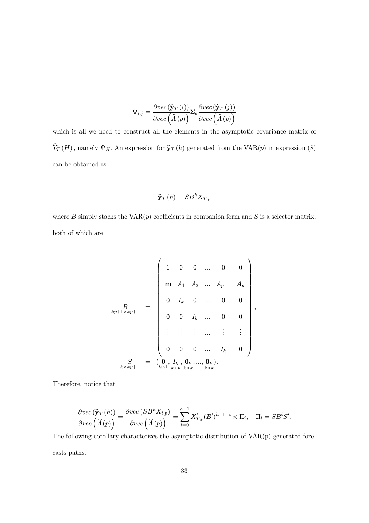$$
\Psi_{i,j} = \frac{\partial vec\left(\mathbf{\widehat{y}}_T\left(i\right)\right)}{\partial vec\left(\widehat{A}\left(p\right)\right)} \Sigma_a \frac{\partial vec\left(\mathbf{\widehat{y}}_T\left(j\right)\right)}{\partial vec\left(\widehat{A}\left(p\right)\right)}
$$

which is all we need to construct all the elements in the asymptotic covariance matrix of  $\widehat{Y}_T\left(H\right)$  , namely  $\Psi_H.$  An expression for  $\widehat{\mathbf{y}}_T\left(h\right)$  generated from the  $\mathrm{VAR}(p)$  in expression (8) can be obtained as

$$
\widehat{\mathbf{y}}_{T}\left(h\right) = SB^{h}X_{T,p}
$$

where B simply stacks the  $VAR(p)$  coefficients in companion form and S is a selector matrix, both of which are

$$
k_{p+1} = \begin{pmatrix} 1 & 0 & 0 & \dots & 0 & 0 \\ \mathbf{m} & A_1 & A_2 & \dots & A_{p-1} & A_p \\ 0 & I_k & 0 & \dots & 0 & 0 \\ 0 & 0 & I_k & \dots & 0 & 0 \\ \vdots & \vdots & \vdots & \dots & \vdots & \vdots \\ 0 & 0 & 0 & \dots & I_k & 0 \end{pmatrix}
$$

$$
k_{p+1} = \begin{pmatrix} 0 & I_k & 0 & \dots & 0 & 0 \\ 0 & I_k & \dots & 0 & 0 & 0 \\ 0 & 0 & 0 & \dots & I_k & 0 \\ 0 & 0 & 0 & \dots & I_k & 0 \end{pmatrix}
$$

,

Therefore, notice that

$$
\frac{\partial vec(\widehat{\mathbf{y}}_T(h))}{\partial vec(\widehat{A}(p))} = \frac{\partial vec(SB^h X_{t,p})}{\partial vec(\widehat{A}(p))} = \sum_{i=0}^{h-1} X'_{T,p}(B')^{h-1-i} \otimes \Pi_i, \quad \Pi_i = SB^iS'.
$$

The following corollary characterizes the asymptotic distribution of VAR(p) generated forecasts paths.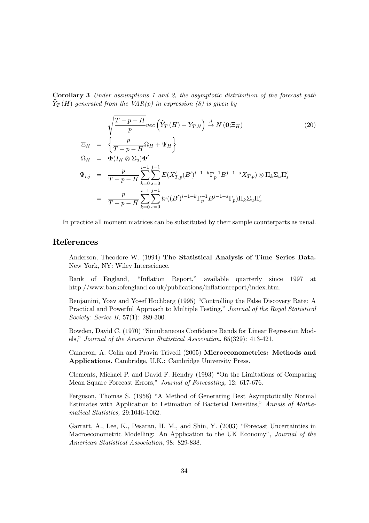Corollary 3 Under assumptions 1 and 2, the asymptotic distribution of the forecast path  $\widehat{Y}_T(H)$  generated from the VAR(p) in expression (8) is given by

$$
\sqrt{\frac{T-p-H}{p}} vec\left(\hat{Y}_T(H) - Y_{T,H}\right) \stackrel{d}{\rightarrow} N(\mathbf{0}; \Xi_H)
$$
\n
$$
\Xi_H = \left\{\frac{p}{T-p-H} \Omega_H + \Psi_H\right\}
$$
\n
$$
\Omega_H = \Phi(I_H \otimes \Sigma_u) \Phi'
$$
\n
$$
\Psi_{i,j} = \frac{p}{T-p-H} \sum_{k=0}^{i-1} \sum_{s=0}^{j-1} E(X'_{T,p}(B')^{i-1-k} \Gamma_p^{-1} B^{j-1-s} X_{T,p}) \otimes \Pi_k \Sigma_u \Pi'_s
$$
\n
$$
= \frac{p}{T-p-H} \sum_{k=0}^{i-1} \sum_{s=0}^{j-1} tr((B')^{i-1-k} \Gamma_p^{-1} B^{j-1-s} \Gamma_p) \Pi_k \Sigma_u \Pi'_s
$$
\n(20)

In practice all moment matrices can be substituted by their sample counterparts as usual.

#### References

Anderson, Theodore W. (1994) The Statistical Analysis of Time Series Data. New York, NY: Wiley Interscience.

Bank of England, "Inflation Report," available quarterly since 1997 at http://www.bankofengland.co.uk/publications/inflationreport/index.htm.

Benjamini, Yoav and Yosef Hochberg (1995) "Controlling the False Discovery Rate: A Practical and Powerful Approach to Multiple Testing," Journal of the Royal Statistical Society: Series B, 57(1): 289-300.

Bowden, David C. (1970) "Simultaneous Confidence Bands for Linear Regression Models," Journal of the American Statistical Association, 65(329): 413-421.

Cameron, A. Colin and Pravin Trivedi (2005) Microeconometrics: Methods and Applications. Cambridge, U.K.: Cambridge University Press.

Clements, Michael P. and David F. Hendry (1993) "On the Limitations of Comparing Mean Square Forecast Errors," Journal of Forecasting, 12: 617-676.

Ferguson, Thomas S. (1958) "A Method of Generating Best Asymptotically Normal Estimates with Application to Estimation of Bacterial Densities," Annals of Mathematical Statistics, 29:1046-1062.

Garratt, A., Lee, K., Pesaran, H. M., and Shin, Y. (2003) "Forecast Uncertainties in Macroeconometric Modelling: An Application to the UK Economy", Journal of the American Statistical Association, 98: 829-838.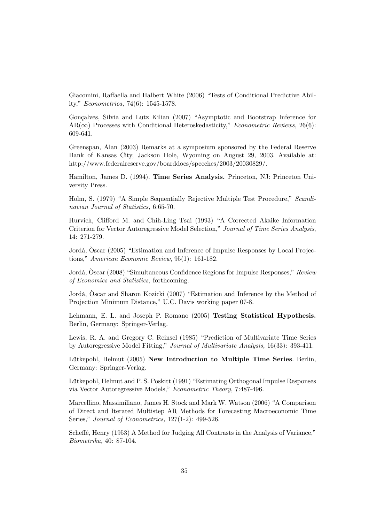Giacomini, Raffaella and Halbert White (2006) "Tests of Conditional Predictive Ability," Econometrica, 74(6): 1545-1578.

Gonçalves, Silvia and Lutz Kilian (2007) "Asymptotic and Bootstrap Inference for  $AR(\infty)$  Processes with Conditional Heteroskedasticity," Econometric Reviews, 26(6): 609-641.

Greenspan, Alan (2003) Remarks at a symposium sponsored by the Federal Reserve Bank of Kansas City, Jackson Hole, Wyoming on August 29, 2003. Available at: http://www.federalreserve.gov/boarddocs/speeches/2003/20030829/.

Hamilton, James D. (1994). Time Series Analysis. Princeton, NJ: Princeton University Press.

Holm, S. (1979) "A Simple Sequentially Rejective Multiple Test Procedure," Scandinavian Journal of Statistics, 6:65-70.

Hurvich, Clifford M. and Chih-Ling Tsai (1993) "A Corrected Akaike Information Criterion for Vector Autoregressive Model Selection," Journal of Time Series Analysis, 14: 271-279.

Jordà, Òscar (2005) "Estimation and Inference of Impulse Responses by Local Projections," American Economic Review, 95(1): 161-182.

Jordà, Òscar (2008) "Simultaneous Confidence Regions for Impulse Responses," Review of Economics and Statistics, forthcoming.

Jordà, Òscar and Sharon Kozicki (2007) "Estimation and Inference by the Method of Projection Minimum Distance," U.C. Davis working paper 07-8.

Lehmann, E. L. and Joseph P. Romano (2005) Testing Statistical Hypothesis. Berlin, Germany: Springer-Verlag.

Lewis, R. A. and Gregory C. Reinsel (1985) "Prediction of Multivariate Time Series by Autoregressive Model Fitting," Journal of Multivariate Analysis, 16(33): 393-411.

Lütkepohl, Helmut (2005) New Introduction to Multiple Time Series. Berlin, Germany: Springer-Verlag.

Lütkepohl, Helmut and P. S. Poskitt (1991) "Estimating Orthogonal Impulse Responses via Vector Autoregressive Models," Econometric Theory, 7:487-496.

Marcellino, Massimiliano, James H. Stock and Mark W. Watson (2006) "A Comparison of Direct and Iterated Multistep AR Methods for Forecasting Macroeconomic Time Series," Journal of Econometrics, 127(1-2): 499-526.

Scheffé, Henry (1953) A Method for Judging All Contrasts in the Analysis of Variance," Biometrika, 40: 87-104.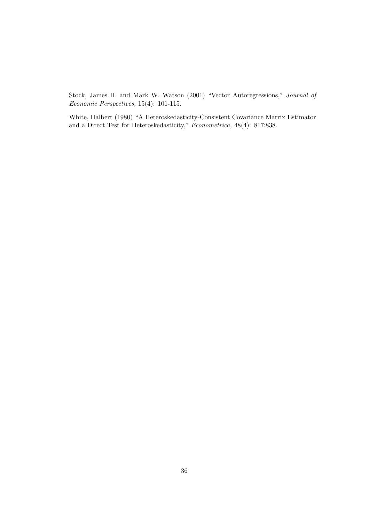Stock, James H. and Mark W. Watson (2001) "Vector Autoregressions," Journal of Economic Perspectives, 15(4): 101-115.

White, Halbert (1980) "A Heteroskedasticity-Consistent Covariance Matrix Estimator and a Direct Test for Heteroskedasticity," Econometrica, 48(4): 817:838.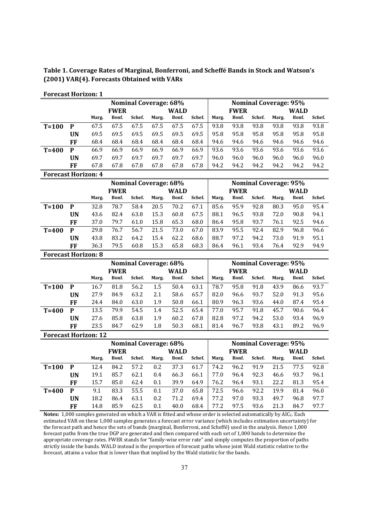**Table 1. Coverage Rates of Marginal, Bonferroni, and Scheffé Bands in Stock and Watson's (2001) VAR(4). Forecasts Obtained with VARs**

| <b>Forecast Horizon: 1</b>  |                            |       |             |        |                              |             |        |                            |             |        |                              |             |        |
|-----------------------------|----------------------------|-------|-------------|--------|------------------------------|-------------|--------|----------------------------|-------------|--------|------------------------------|-------------|--------|
|                             |                            |       |             |        | <b>Nominal Coverage: 68%</b> |             |        |                            |             |        | <b>Nominal Coverage: 95%</b> |             |        |
|                             |                            |       | <b>FWER</b> |        |                              | <b>WALD</b> |        |                            | <b>FWER</b> |        |                              | <b>WALD</b> |        |
|                             |                            | Marg. | Bonf.       | Schef. | Marg.                        | Bonf.       | Schef. | Marg.                      | Bonf.       | Schef. | Marg.                        | Bonf.       | Schef. |
| $T=100$                     | $\mathbf{P}$               | 67.5  | 67.5        | 67.5   | 67.5                         | 67.5        | 67.5   | 93.8                       | 93.8        | 93.8   | 93.8                         | 93.8        | 93.8   |
|                             | <b>UN</b>                  | 69.5  | 69.5        | 69.5   | 69.5                         | 69.5        | 69.5   | 95.8                       | 95.8        | 95.8   | 95.8                         | 95.8        | 95.8   |
|                             | FF                         | 68.4  | 68.4        | 68.4   | 68.4                         | 68.4        | 68.4   | 94.6                       | 94.6        | 94.6   | 94.6                         | 94.6        | 94.6   |
| $T=400$                     | $\mathbf{P}$               | 66.9  | 66.9        | 66.9   | 66.9                         | 66.9        | 66.9   | 93.6                       | 93.6        | 93.6   | 93.6                         | 93.6        | 93.6   |
|                             | <b>UN</b>                  | 69.7  | 69.7        | 69.7   | 69.7                         | 69.7        | 69.7   | 96.0                       | 96.0        | 96.0   | 96.0                         | 96.0        | 96.0   |
|                             | FF                         | 67.8  | 67.8        | 67.8   | 67.8                         | 67.8        | 67.8   | 94.2                       | 94.2        | 94.2   | 94.2                         | 94.2        | 94.2   |
|                             | <b>Forecast Horizon: 4</b> |       |             |        |                              |             |        |                            |             |        |                              |             |        |
|                             |                            |       |             |        | <b>Nominal Coverage: 68%</b> |             |        |                            |             |        | <b>Nominal Coverage: 95%</b> |             |        |
|                             |                            |       | <b>FWER</b> |        |                              | <b>WALD</b> |        |                            | <b>FWER</b> |        |                              | <b>WALD</b> |        |
|                             |                            | Marg. | Bonf.       | Schef. | Marg.                        | Bonf.       | Schef. | Marg.                      | Bonf.       | Schef. | Marg.                        | Bonf.       | Schef. |
| $T=100$                     | $\mathbf{P}$               | 32.8  | 78.7        | 58.4   | 20.5                         | 70.2        | 67.1   | 85.6                       | 95.9        | 92.8   | 80.3                         | 95.0        | 95.4   |
|                             | <b>UN</b>                  | 43.6  | 82.4        | 63.8   | 15.3                         | 60.8        | 67.5   | 88.1                       | 96.5        | 93.8   | 72.0                         | 90.8        | 94.1   |
|                             | <b>FF</b>                  | 37.0  | 79.7        | 61.0   | 15.8                         | 65.3        | 68.0   | 86.4                       | 95.8        | 93.7   | 76.1                         | 92.5        | 94.6   |
| $T=400$                     | ${\bf P}$                  | 29.8  | 76.7        | 56.7   | 21.5                         | 73.0        | 67.0   | 83.9                       | 95.5        | 92.4   | 82.9                         | 96.8        | 96.6   |
|                             | <b>UN</b>                  | 43.8  | 83.2        | 64.2   | 15.4                         | 62.2        | 68.6   | 88.7                       | 97.2        | 94.2   | 73.0                         | 91.9        | 95.1   |
|                             | <b>FF</b>                  | 36.3  | 79.5        | 60.8   | 15.3                         | 65.8        | 68.3   | 86.4                       | 96.1        | 93.4   | 76.4                         | 92.9        | 94.9   |
| <b>Forecast Horizon: 8</b>  |                            |       |             |        |                              |             |        |                            |             |        |                              |             |        |
|                             |                            |       |             |        | <b>Nominal Coverage: 68%</b> |             |        |                            |             |        | <b>Nominal Coverage: 95%</b> |             |        |
|                             |                            |       | <b>FWER</b> |        |                              | <b>WALD</b> |        | <b>FWER</b><br><b>WALD</b> |             |        |                              |             |        |
|                             |                            | Marg. | Bonf.       | Schef. | Marg.                        | Bonf.       | Schef. | Marg.                      | Bonf.       | Schef. | Marg.                        | Bonf.       | Schef. |
| $T=100$                     | $\boldsymbol{\mathsf{P}}$  | 16.7  | 81.8        | 56.2   | 1.5                          | 50.4        | 63.1   | 78.7                       | 95.8        | 91.8   | 43.9                         | 86.6        | 93.7   |
|                             | <b>UN</b>                  | 27.9  | 84.9        | 63.2   | 2.1                          | 58.6        | 65.7   | 82.0                       | 96.6        | 93.7   | 52.0                         | 91.3        | 95.6   |
|                             | <b>FF</b>                  | 24.4  | 84.0        | 63.0   | 1.9                          | 50.8        | 66.1   | 80.9                       | 96.3        | 93.6   | 44.0                         | 87.4        | 95.4   |
| $T=400$                     | $\mathbf P$                | 13.5  | 79.9        | 54.5   | 1.4                          | 52.5        | 65.4   | 77.0                       | 95.7        | 91.8   | 45.7                         | 90.6        | 96.4   |
|                             | <b>UN</b>                  | 27.6  | 85.8        | 63.8   | 1.9                          | 60.2        | 67.8   | 82.8                       | 97.2        | 94.2   | 53.0                         | 93.4        | 96.9   |
|                             | FF                         | 23.5  | 84.7        | 62.9   | 1.8                          | 50.3        | 68.1   | 81.4                       | 96.7        | 93.8   | 43.1                         | 89.2        | 96.9   |
| <b>Forecast Horizon: 12</b> |                            |       |             |        |                              |             |        |                            |             |        |                              |             |        |
|                             |                            |       |             |        | <b>Nominal Coverage: 68%</b> |             |        |                            |             |        | <b>Nominal Coverage: 95%</b> |             |        |
|                             |                            |       | <b>FWER</b> |        |                              | <b>WALD</b> |        |                            | <b>FWER</b> |        |                              | <b>WALD</b> |        |
|                             |                            | Marg. | Bonf.       | Schef. | Marg.                        | Bonf.       | Schef. | Marg.                      | Bonf.       | Schef. | Marg.                        | Bonf.       | Schef. |
| $T=100$                     | $\mathbf P$                | 12.4  | 84.2        | 57.2   | 0.2                          | 37.3        | 61.7   | 74.2                       | 96.2        | 91.9   | 21.5                         | 77.5        | 92.8   |
|                             | <b>UN</b>                  | 19.1  | 85.7        | 62.1   | 0.4                          | 66.3        | 66.1   | 77.0                       | 96.4        | 92.3   | 46.6                         | 93.7        | 96.1   |
|                             | FF                         | 15.7  | 85.0        | 62.4   | 0.1                          | 39.9        | 64.9   | 76.2                       | 96.4        | 93.1   | 22.2                         | 81.3        | 95.4   |
| $T=400$                     | ${\bf P}$                  | 9.1   | 83.3        | 55.5   | 0.1                          | 37.0        | 65.8   | 72.5                       | 96.6        | 92.2   | 19.9                         | 81.4        | 96.0   |
|                             | <b>UN</b>                  | 18.2  | 86.4        | 63.1   | 0.2                          | 71.2        | 69.4   | 77.2                       | 97.0        | 93.3   | 49.7                         | 96.8        | 97.7   |

**FF** 14.8 85.9 62.5 0.1 40.0 68.4 77.2 97.5 93.6 21.3 84.7 97.7 Notes: 1,000 samples generated on which a VAR is fitted and whose order is selected automatically by AIC<sub>c</sub>. Each estimated VAR on these 1,000 samples generates a forecast error variance (which includes estimation uncertainty) for the forecast path and hence the sets of bands (marginal, Bonferroni, and Scheffé) used in the analysis. Hence 1,000 forecast paths from the true DGP are generated and then compared with each set of 1,000 bands to determine the appropriate coverage rates. FWER stands for "family-wise error rate" and simply computes the proportion of paths strictly inside the bands. WALD instead is the proportion of forecast paths whose joint Wald statistic relative to the forecast, attains a value that is lower than that implied by the Wald statistic for the bands.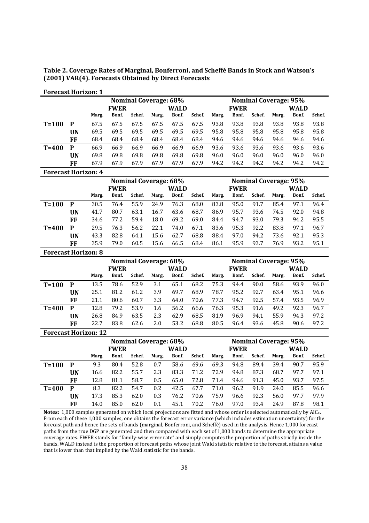**Table 2. Coverage Rates of Marginal, Bonferroni, and Scheffé Bands in Stock and Watson's (2001) VAR(4). Forecasts Obtained by Direct Forecasts**

| TUTCCASCHUIHDUM 1          |    |       |             |                              |       |       |        |       |             |                              |       |       |        |  |
|----------------------------|----|-------|-------------|------------------------------|-------|-------|--------|-------|-------------|------------------------------|-------|-------|--------|--|
|                            |    |       |             | <b>Nominal Coverage: 68%</b> |       |       |        |       |             | <b>Nominal Coverage: 95%</b> |       |       |        |  |
|                            |    |       | <b>FWER</b> |                              |       | WALD  |        |       | <b>FWER</b> |                              |       | WALD  |        |  |
|                            |    | Marg. | Bonf.       | Schef.                       | Marg. | Bonf. | Schef. | Marg. | Bonf.       | Schef.                       | Marg. | Bonf. | Schef. |  |
| $T = 100$                  | P  | 67.5  | 67.5        | 67.5                         | 67.5  | 67.5  | 67.5   | 93.8  | 93.8        | 93.8                         | 93.8  | 93.8  | 93.8   |  |
|                            | UN | 69.5  | 69.5        | 69.5                         | 69.5  | 69.5  | 69.5   | 95.8  | 95.8        | 95.8                         | 95.8  | 95.8  | 95.8   |  |
|                            | FF | 68.4  | 68.4        | 68.4                         | 68.4  | 68.4  | 68.4   | 94.6  | 94.6        | 94.6                         | 94.6  | 94.6  | 94.6   |  |
| $T = 400$                  | P  | 66.9  | 66.9        | 66.9                         | 66.9  | 66.9  | 66.9   | 93.6  | 93.6        | 93.6                         | 93.6  | 93.6  | 93.6   |  |
|                            | UN | 69.8  | 69.8        | 69.8                         | 69.8  | 69.8  | 69.8   | 96.0  | 96.0        | 96.0                         | 96.0  | 96.0  | 96.0   |  |
|                            | FF | 67.9  | 67.9        | 67.9                         | 67.9  | 67.9  | 67.9   | 94.2  | 94.2        | 94.2                         | 94.2  | 94.2  | 94.2   |  |
| <b>Forecast Horizon: 4</b> |    |       |             |                              |       |       |        |       |             |                              |       |       |        |  |

#### **Forecast Horizon: 1**

|           |    |             |       | <b>Nominal Coverage: 68%</b> |       |       | <b>Nominal Coverage: 95%</b> |       |             |        |       |             |        |  |
|-----------|----|-------------|-------|------------------------------|-------|-------|------------------------------|-------|-------------|--------|-------|-------------|--------|--|
|           |    | <b>FWER</b> |       |                              |       | WALD  |                              |       | <b>FWER</b> |        |       | <b>WALD</b> |        |  |
|           |    | Marg.       | Bonf. | Schef.                       | Marg. | Bonf. | Schef.                       | Marg. | Bonf.       | Schef. | Marg. | Bonf.       | Schef. |  |
| $T=100$   | P  | 30.5        | 76.4  | 55.9                         | 24.9  | 76.3  | 68.0                         | 83.8  | 95.0        | 91.7   | 85.4  | 97.1        | 96.4   |  |
|           | UN | 41.7        | 80.7  | 63.1                         | 16.7  | 63.6  | 68.7                         | 86.9  | 95.7        | 93.6   | 74.5  | 92.0        | 94.8   |  |
|           | FF | 34.6        | 77.2  | 59.4                         | 18.0  | 69.2  | 69.0                         | 84.4  | 94.7        | 93.0   | 79.3  | 94.2        | 95.5   |  |
| $T = 400$ | P  | 29.5        | 76.3  | 56.2                         | 22.1  | 74.0  | 67.1                         | 83.6  | 95.3        | 92.2   | 83.8  | 97.1        | 96.7   |  |
|           | UN | 43.3        | 82.8  | 64.1                         | 15.6  | 62.7  | 68.8                         | 88.4  | 97.0        | 94.2   | 73.6  | 92.1        | 95.3   |  |
|           | FF | 35.9        | 79.0  | 60.5                         | 15.6  | 66.5  | 68.4                         | 86.1  | 95.9        | 93.7   | 76.9  | 93.2        | 95.1   |  |

#### **Forecast Horizon: 8 Nominal Coverage: 68% Nominal Coverage: 95% FWER WALD FWER WALD Marg. Bonf. Schef. Marg. Bonf. Schef. Marg. Bonf. Schef. Marg. Bonf. Schef. T=100 P** 13.5 78.6 52.9 3.1 65.1 68.2 75.3 94.4 90.0 58.6 93.9 96.0 **UN** 25.1 81.2 61.2 3.9 69.7 68.9 78.7 95.2 92.7 63.4 95.1 96.6 **FF** 21.1 80.6 60.7 3.3 64.0 70.6 77.3 94.7 92.5 57.4 93.5 96.9 **T=400 P** 12.8 79.2 53.9 1.6 56.2 66.6 76.3 95.3 91.6 49.2 92.3 96.7 **UN** 26.8 84.9 63.5 2.3 62.9 68.5 81.9 96.9 94.1 55.9 94.3 97.2 **FF** 22.7 83.8 62.6 2.0 53.2 68.8 80.5 96.4 93.6 45.8 90.6 97.2

#### **Forecast Horizon: 12**

|           |    |                          |      | <b>Nominal Coverage: 68%</b> |             |        | <b>Nominal Coverage: 95%</b> |             |        |       |             |        |      |
|-----------|----|--------------------------|------|------------------------------|-------------|--------|------------------------------|-------------|--------|-------|-------------|--------|------|
|           |    | <b>FWER</b>              |      |                              | <b>WALD</b> |        |                              | <b>FWER</b> |        |       | <b>WALD</b> |        |      |
|           |    | Schef.<br>Bonf.<br>Marg. |      | Marg.                        | Bonf.       | Schef. | Marg.                        | Bonf.       | Schef. | Marg. | Bonf.       | Schef. |      |
| $T = 100$ | P  | 9.3                      | 80.4 | 52.8                         | 0.7         | 58.6   | 69.6                         | 69.3        | 94.8   | 89.4  | 39.4        | 90.7   | 95.9 |
|           | UN | 16.6                     | 82.2 | 55.7                         | 2.3         | 83.3   | 71.2                         | 72.9        | 94.8   | 87.3  | 68.7        | 97.7   | 97.1 |
|           | FF | 12.8                     | 81.1 | 58.7                         | 0.5         | 65.0   | 72.8                         | 71.4        | 94.6   | 91.3  | 45.0        | 93.7   | 97.5 |
| $T = 400$ | P  | 8.3                      | 82.2 | 54.7                         | 0.2         | 42.5   | 67.7                         | 71.0        | 96.2   | 91.9  | 24.0        | 85.5   | 96.6 |
|           | UN | 17.3                     | 85.3 | 62.0                         | 0.3         | 76.2   | 70.6                         | 75.9        | 96.6   | 92.3  | 56.0        | 97.7   | 97.9 |
|           | FF | 14.0                     | 85.0 | 62.0                         | 0.1         | 45.1   | 70.2                         | 76.0        | 97.0   | 93.4  | 24.9        | 87.8   | 98.1 |

**Notes:** 1,000 samples generated on which local projections are fitted and whose order is selected automatically by AIC<sub>c</sub>. From each of these 1,000 samples, one obtains the forecast error variance (which includes estimation uncertainty) for the forecast path and hence the sets of bands (marginal, Bonferroni, and Scheffé) used in the analysis. Hence 1,000 forecast paths from the true DGP are generated and then compared with each set of 1,000 bands to determine the appropriate coverage rates. FWER stands for "family-wise error rate" and simply computes the proportion of paths strictly inside the bands. WALD instead is the proportion of forecast paths whose joint Wald statistic relative to the forecast, attains a value that is lower than that implied by the Wald statistic for the bands.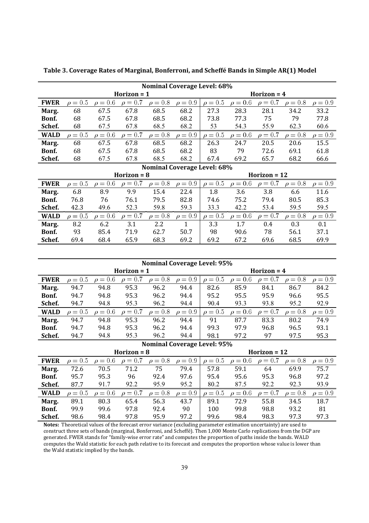|                             | <b>Nominal Coverage Level: 68%</b> |              |               |              |              |                |              |               |              |              |  |  |  |
|-----------------------------|------------------------------------|--------------|---------------|--------------|--------------|----------------|--------------|---------------|--------------|--------------|--|--|--|
|                             |                                    |              | Horizon $= 1$ |              |              |                |              | Horizon $= 4$ |              |              |  |  |  |
| <b>FWER</b>                 | $\rho = 0.5$                       | $\rho = 0.6$ | $\rho = 0.7$  | $\rho = 0.8$ | $\rho = 0.9$ | $\rho = 0.5$   | $\rho = 0.6$ | $\rho = 0.7$  | $\rho = 0.8$ | $\rho = 0.9$ |  |  |  |
| Marg.                       | 68                                 | 67.5         | 67.8          | 68.5         | 68.2         | 27.3           | 28.3         | 28.1          | 34.2         | 33.2         |  |  |  |
| Bonf.                       | 68                                 | 67.5         | 67.8          | 68.5         | 68.2         | 73.8           | 77.3         | 75            | 79           | 77.8         |  |  |  |
| Schef.                      | 68                                 | 67.5         | 67.8          | 68.5         | 68.2         | 53             | 54.3         | 55.9          | 62.3         | 60.6         |  |  |  |
| <b>WALD</b>                 | $\rho = 0.5$                       | $\rho = 0.6$ | $\rho = 0.7$  | $\rho = 0.8$ | $\rho = 0.9$ | $\rho = 0.5$   | $\rho = 0.6$ | $\rho = 0.7$  | $\rho = 0.8$ | $\rho = 0.9$ |  |  |  |
| Marg.                       | 68                                 | 67.5         | 67.8          | 68.5         | 68.2         | 26.3           | 24.7         | 20.5          | 20.6         | 15.5         |  |  |  |
| Bonf.                       | 68                                 | 67.5         | 67.8          | 68.5         | 68.2         | 83             | 79           | 72.6          | 69.1         | 61.8         |  |  |  |
| Schef.                      | 68                                 | 67.5         | 67.8          | 68.5         | 68.2         | 67.4           | 69.2         | 65.7          | 68.2         | 66.6         |  |  |  |
| Nominal Coverage Level: 68% |                                    |              |               |              |              |                |              |               |              |              |  |  |  |
|                             |                                    |              | Horizon $= 8$ |              |              | Horizon $= 12$ |              |               |              |              |  |  |  |
| <b>FWER</b>                 | $\rho = 0.5$                       | $\rho = 0.6$ | $\rho = 0.7$  | $\rho = 0.8$ | $\rho = 0.9$ | $\rho = 0.5$   | $\rho = 0.6$ | $\rho = 0.7$  | $\rho = 0.8$ | $\rho = 0.9$ |  |  |  |
| Marg.                       | 6.8                                | 8.9          | 9.9           | 15.4         | 22.4         | 1.8            | 3.6          | 3.8           | 6.6          | 11.6         |  |  |  |
| Bonf.                       | 76.8                               | 76           | 76.1          | 79.5         | 82.8         | 74.6           | 75.2         | 79.4          | 80.5         | 85.3         |  |  |  |
| Schef.                      | 42.3                               | 49.6         | 52.3          | 59.8         | 59.3         | 33.3           | 42.2         | 53.4          | 59.5         | 59.5         |  |  |  |
| <b>WALD</b>                 | $\rho = 0.5$                       | $\rho = 0.6$ | $\rho = 0.7$  | $\rho = 0.8$ | $\rho = 0.9$ | $\rho = 0.5$   | $\rho = 0.6$ | $\rho = 0.7$  | $\rho = 0.8$ | $\rho = 0.9$ |  |  |  |
| Marg.                       | 8.2                                | 6.2          | 3.1           | 2.2          | $\mathbf{1}$ | 3.3            | 1.7          | 0.4           | 0.3          | 0.1          |  |  |  |
| Bonf.                       | 93                                 | 85.4         | 71.9          | 62.7         | 50.7         | 98             | 90.6         | 78            | 56.1         | 37.1         |  |  |  |
| Schef.                      | 69.4                               | 68.4         | 65.9          | 68.3         | 69.2         | 69.2           | 67.2         | 69.6          | 68.5         | 69.9         |  |  |  |

**Table 3. Coverage Rates of Marginal, Bonferroni, and Scheffé Bands in Simple AR(1) Model**

|             | <b>Nominal Coverage Level: 95%</b> |                     |               |              |              |               |              |                     |              |              |  |  |  |
|-------------|------------------------------------|---------------------|---------------|--------------|--------------|---------------|--------------|---------------------|--------------|--------------|--|--|--|
|             |                                    |                     | Horizon $= 1$ |              |              | Horizon $=$ 4 |              |                     |              |              |  |  |  |
| <b>FWER</b> | $\rho = 0.5$                       | $\rho = 0.6$        | $\rho = 0.7$  | $\rho = 0.8$ | $\rho = 0.9$ | $\rho = 0.5$  | $\rho = 0.6$ | $\rho = 0.7$        | $\rho = 0.8$ | $\rho = 0.9$ |  |  |  |
| Marg.       | 94.7                               | 94.8                | 95.3          | 96.2         | 94.4         | 82.6          | 85.9         | 84.1                | 86.7         | 84.2         |  |  |  |
| Bonf.       | 94.7                               | 94.8                | 95.3          | 96.2         | 94.4         | 95.2          | 95.5         | 95.9                | 96.6         | 95.5         |  |  |  |
| Schef.      | 94.7                               | 94.8                | 95.3          | 96.2         | 94.4         | 90.4          | 93.3         | 93.8                | 95.2         | 92.9         |  |  |  |
| <b>WALD</b> | $\rho = 0.5$                       | $= 0.6$<br>$\theta$ | $\rho = 0.7$  | $\rho = 0.8$ | $\rho = 0.9$ | $= 0.5$       | $\rho = 0.6$ | $= 0.7$<br>$\theta$ | $\rho = 0.8$ | $= 0.9$      |  |  |  |
| Marg.       | 94.7                               | 94.8                | 95.3          | 96.2         | 94.4         | 91            | 87.7         | 83.3                | 80.2         | 74.9         |  |  |  |
| Bonf.       | 94.7                               | 94.8                | 95.3          | 96.2         | 94.4         | 99.3          | 97.9         | 96.8                | 96.5         | 93.1         |  |  |  |
| Schef.      | 94.7                               | 94.8                | 95.3          | 96.2         | 94.4         | 98.1          | 97.2         | 97                  | 97.5         | 95.3         |  |  |  |

|             | <b>Nominal Coverage Level: 95%</b> |              |               |              |              |                |              |              |              |              |  |  |  |
|-------------|------------------------------------|--------------|---------------|--------------|--------------|----------------|--------------|--------------|--------------|--------------|--|--|--|
|             |                                    |              | Horizon $= 8$ |              |              | Horizon $= 12$ |              |              |              |              |  |  |  |
| <b>FWER</b> | $\rho = 0.5$                       | $\rho = 0.6$ | $\rho = 0.7$  | $\rho = 0.8$ | $\rho = 0.9$ | $\rho = 0.5$   | $\rho = 0.6$ | $\rho = 0.7$ | $\rho = 0.8$ | $\rho = 0.9$ |  |  |  |
| Marg.       | 72.6                               | 70.5         | 71.2          | 75           | 79.4         | 57.8           | 59.1         | 64           | 69.9         | 75.7         |  |  |  |
| Bonf.       | 95.7                               | 95.3         | 96            | 92.4         | 97.6         | 95.4           | 95.6         | 95.3         | 96.8         | 97.2         |  |  |  |
| Schef.      | 87.7                               | 91.7         | 92.2          | 95.9         | 95.2         | 80.2           | 87.5         | 92.2         | 92.3         | 93.9         |  |  |  |
| <b>WALD</b> | $\rho = 0.5$                       | $\rho = 0.6$ | $\rho = 0.7$  | $\rho = 0.8$ | $\rho = 0.9$ | $\rho = 0.5$   | $\rho = 0.6$ | $\rho = 0.7$ | $\rho = 0.8$ | $\rho = 0.9$ |  |  |  |
| Marg.       | 89.1                               | 80.3         | 65.4          | 56.3         | 43.7         | 89.1           | 72.9         | 55.8         | 34.5         | 18.7         |  |  |  |
| Bonf.       | 99.9                               | 99.6         | 97.8          | 92.4         | 90           | 100            | 99.8         | 98.8         | 93.2         | 81           |  |  |  |
| Schef.      | 98.6                               | 98.4         | 97.8          | 95.9         | 97.2         | 99.6           | 98.4         | 98.3         | 97.3         | 97.3         |  |  |  |

**Notes:** Theoretical values of the forecast error variance (excluding parameter estimation uncertainty) are used to construct three sets of bands (marginal, Bonferroni, and Scheffe). Then 1,000 Monte Carlo replications from the DGP are generated. FWER stands for "family-wise error rate" and computes the proportion of paths inside the bands. WALD computes the Wald statistic for each path relative to its forecast and computes the proportion whose value is lower than the Wald statistic implied by the bands.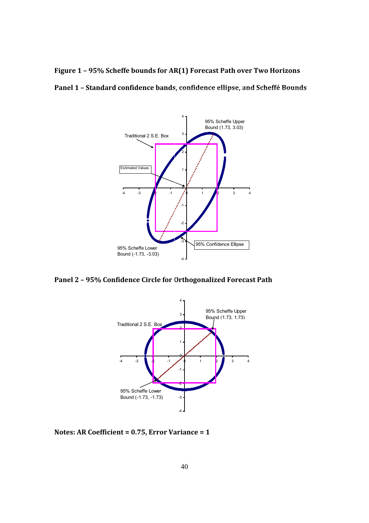**Figure 1 – 95% Scheffe bounds for AR(1) Forecast Path over Two Horizons**

**Panel 1 – Standard confidence bands, confidence ellipse, and Scheffé Bounds**



**Panel 2 – 95% Confidence Circle for Orthogonalized Forecast Path**



**Notes: AR Coefficient = 0.75, Error Variance = 1**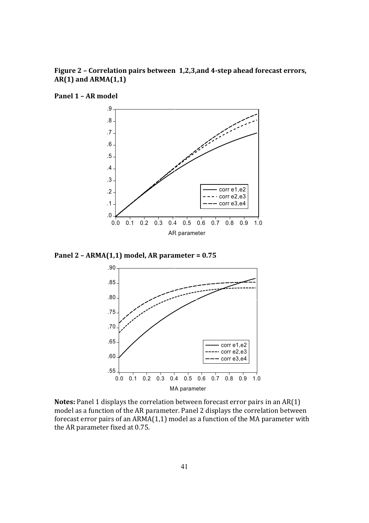## **Figure 2 – Correlation pairs between1,2,3,and 4Ǧstep ahead forecast errors, AR(1) and ARMA(1,1)**



**Panel 1 – AR model**

**Panel 2 – ARMA(1,1) model, AR parameter = 0.75**



Notes: Panel 1 displays the correlation between forecast error pairs in an AR(1) model as a function of the AR parameter. Panel 2 displays the correlation between forecast error pairs of an ARMA(1,1) model as a function of the MA parameter with the AR parameter fixed at 0.75.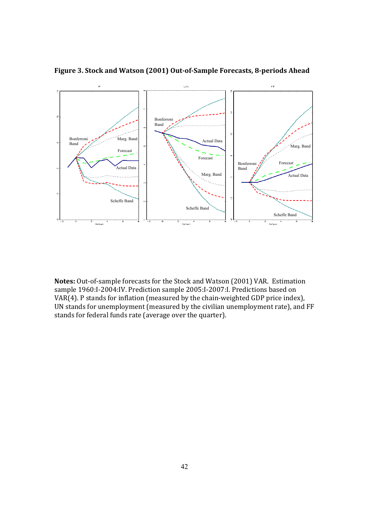

**Figure 3. Stock and Watson (2001) OutǦofǦSample Forecasts, 8Ǧperiods Ahead**

Notes: Out-of-sample forecasts for the Stock and Watson (2001) VAR. Estimation sample 1960:I-2004:IV. Prediction sample 2005:I-2007:I. Predictions based on VAR(4). P stands for inflation (measured by the chain-weighted GDP price index), UN stands for unemployment (measured by the civilian unemployment rate), and FF stands for federal funds rate (average over the quarter).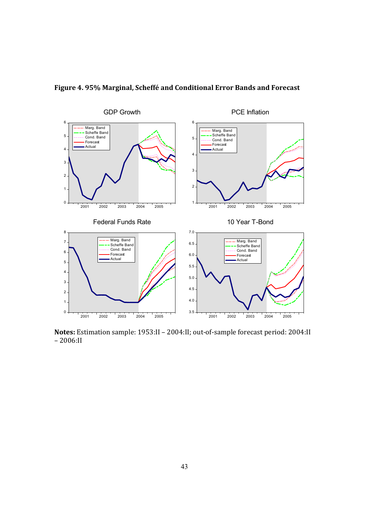

**Figure 4. 95% Marginal, Scheffé and Conditional Error Bands and Forecast**

Notes: Estimation sample: 1953:II - 2004:II; out-of-sample forecast period: 2004:II  $-2006:$ II